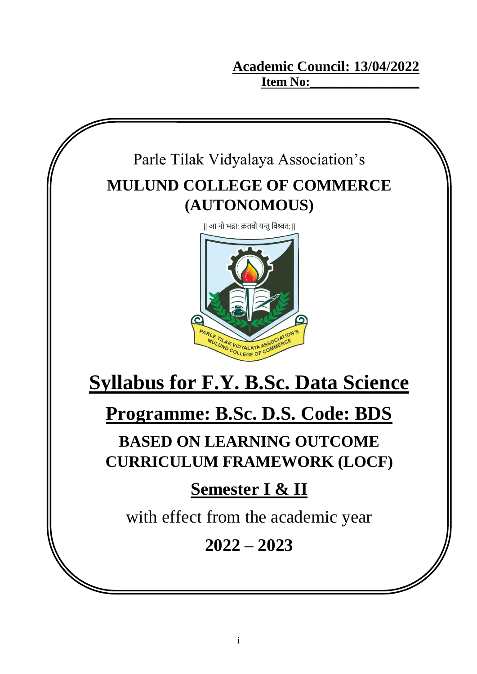**Academic Council: 13/04/2022 Item No:** 

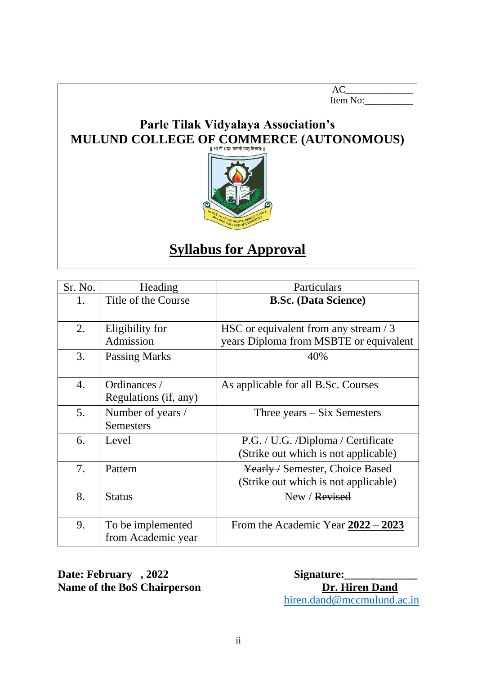AC\_\_\_\_\_\_\_\_\_\_\_\_\_\_ Item No:

## **Parle Tilak Vidyalaya Association's MULUND COLLEGE OF COMMERCE (AUTONOMOUS)**



## **Syllabus for Approval**

| Sr. No. | Heading               | Particulars                            |
|---------|-----------------------|----------------------------------------|
| 1.      | Title of the Course   | <b>B.Sc. (Data Science)</b>            |
|         |                       |                                        |
| 2.      | Eligibility for       | HSC or equivalent from any stream / 3  |
|         | Admission             | years Diploma from MSBTE or equivalent |
| 3.      | <b>Passing Marks</b>  | 40%                                    |
|         |                       |                                        |
| 4.      | Ordinances /          | As applicable for all B.Sc. Courses    |
|         | Regulations (if, any) |                                        |
| 5.      | Number of years /     | Three years $-Six$ Semesters           |
|         | <b>Semesters</b>      |                                        |
| 6.      | Level                 | P.G. / U.G. / Diploma / Certificate    |
|         |                       | (Strike out which is not applicable)   |
| 7.      | Pattern               | Yearly / Semester, Choice Based        |
|         |                       | (Strike out which is not applicable)   |
| 8.      | <b>Status</b>         | New / Revised                          |
|         |                       |                                        |
| 9.      | To be implemented     | From the Academic Year $2022 - 2023$   |
|         | from Academic year    |                                        |

Date: February , 2022 Signature: **Name of the BoS Chairperson Dr. Hiren Dand** 

[hiren.dand@mccmulund.ac.in](mailto:hiren.dand@mccmulund.ac.in)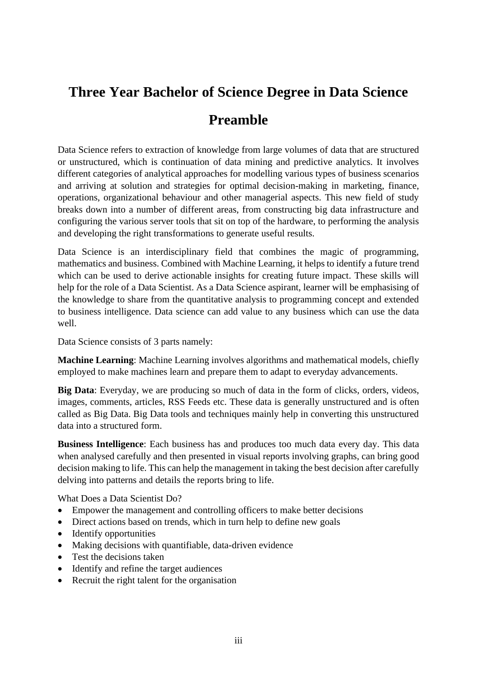## **Three Year Bachelor of Science Degree in Data Science Preamble**

Data Science refers to extraction of knowledge from large volumes of data that are structured or unstructured, which is continuation of data mining and predictive analytics. It involves different categories of analytical approaches for modelling various types of business scenarios and arriving at solution and strategies for optimal decision-making in marketing, finance, operations, organizational behaviour and other managerial aspects. This new field of study breaks down into a number of different areas, from constructing big data infrastructure and configuring the various server tools that sit on top of the hardware, to performing the analysis and developing the right transformations to generate useful results.

Data Science is an interdisciplinary field that combines the magic of programming, mathematics and business. Combined with Machine Learning, it helps to identify a future trend which can be used to derive actionable insights for creating future impact. These skills will help for the role of a Data Scientist. As a Data Science aspirant, learner will be emphasising of the knowledge to share from the quantitative analysis to programming concept and extended to business intelligence. Data science can add value to any business which can use the data well.

Data Science consists of 3 parts namely:

**Machine Learning**: Machine Learning involves algorithms and mathematical models, chiefly employed to make machines learn and prepare them to adapt to everyday advancements.

**Big Data**: Everyday, we are producing so much of data in the form of clicks, orders, videos, images, comments, articles, RSS Feeds etc. These data is generally unstructured and is often called as Big Data. Big Data tools and techniques mainly help in converting this unstructured data into a structured form.

**Business Intelligence**: Each business has and produces too much data every day. This data when analysed carefully and then presented in visual reports involving graphs, can bring good decision making to life. This can help the management in taking the best decision after carefully delving into patterns and details the reports bring to life.

What Does a Data Scientist Do?

- Empower the management and controlling officers to make better decisions
- Direct actions based on trends, which in turn help to define new goals
- Identify opportunities
- Making decisions with quantifiable, data-driven evidence
- Test the decisions taken
- Identify and refine the target audiences
- Recruit the right talent for the organisation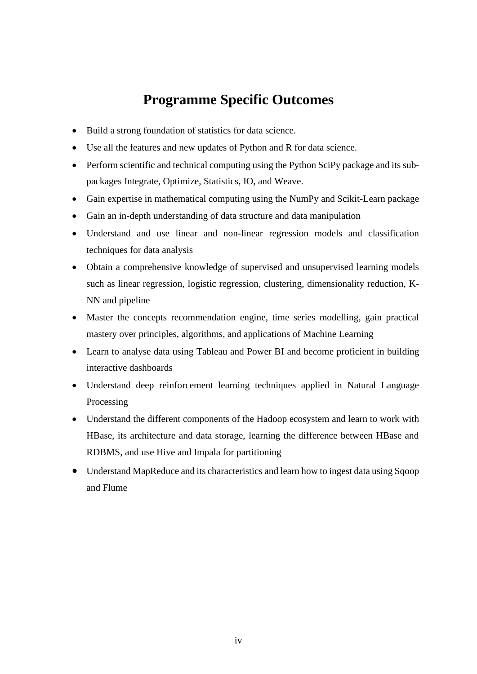## **Programme Specific Outcomes**

- Build a strong foundation of statistics for data science.
- Use all the features and new updates of Python and R for data science.
- Perform scientific and technical computing using the Python SciPy package and its subpackages Integrate, Optimize, Statistics, IO, and Weave.
- Gain expertise in mathematical computing using the NumPy and Scikit-Learn package
- Gain an in-depth understanding of data structure and data manipulation
- Understand and use linear and non-linear regression models and classification techniques for data analysis
- Obtain a comprehensive knowledge of supervised and unsupervised learning models such as linear regression, logistic regression, clustering, dimensionality reduction, K-NN and pipeline
- Master the concepts recommendation engine, time series modelling, gain practical mastery over principles, algorithms, and applications of Machine Learning
- Learn to analyse data using Tableau and Power BI and become proficient in building interactive dashboards
- Understand deep reinforcement learning techniques applied in Natural Language Processing
- Understand the different components of the Hadoop ecosystem and learn to work with HBase, its architecture and data storage, learning the difference between HBase and RDBMS, and use Hive and Impala for partitioning
- Understand MapReduce and its characteristics and learn how to ingest data using Sqoop and Flume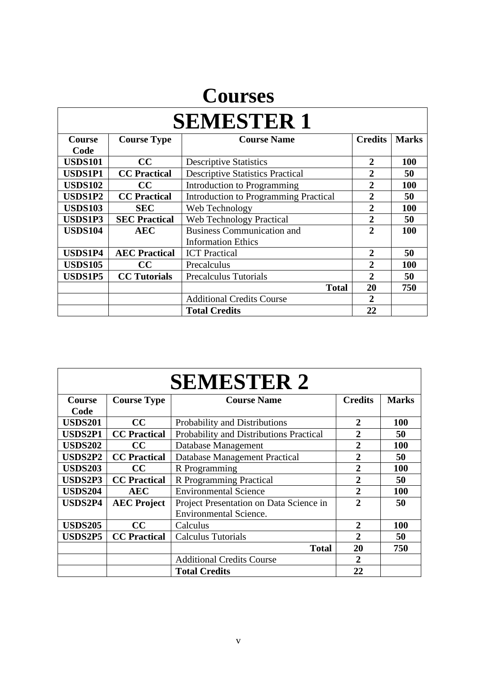## **Courses**

| <b>SEMESTER 1</b> |                      |                                              |                |              |
|-------------------|----------------------|----------------------------------------------|----------------|--------------|
| Course            | <b>Course Type</b>   | <b>Course Name</b>                           | <b>Credits</b> | <b>Marks</b> |
| Code              |                      |                                              |                |              |
| <b>USDS101</b>    | CC                   | <b>Descriptive Statistics</b>                | $\mathbf{2}$   | 100          |
| <b>USDS1P1</b>    | <b>CC</b> Practical  | <b>Descriptive Statistics Practical</b>      | $\overline{2}$ | 50           |
| <b>USDS102</b>    | cc                   | Introduction to Programming                  | $\overline{2}$ | <b>100</b>   |
| <b>USDS1P2</b>    | <b>CC</b> Practical  | <b>Introduction to Programming Practical</b> | 2              | 50           |
| <b>USDS103</b>    | <b>SEC</b>           | Web Technology                               | $\overline{2}$ | <b>100</b>   |
| <b>USDS1P3</b>    | <b>SEC Practical</b> | <b>Web Technology Practical</b>              | $\overline{2}$ | 50           |
| <b>USDS104</b>    | <b>AEC</b>           | <b>Business Communication and</b>            | $\mathcal{D}$  | 100          |
|                   |                      | <b>Information Ethics</b>                    |                |              |
| <b>USDS1P4</b>    | <b>AEC Practical</b> | <b>ICT</b> Practical                         | $\overline{2}$ | 50           |
| <b>USDS105</b>    | $\bf CC$             | Precalculus                                  | $\overline{2}$ | <b>100</b>   |
| <b>USDS1P5</b>    | <b>CC</b> Tutorials  | <b>Precalculus Tutorials</b>                 | $\mathbf{2}$   | 50           |
|                   |                      | <b>Total</b>                                 | 20             | 750          |
|                   |                      | <b>Additional Credits Course</b>             | $\mathbf{2}$   |              |
|                   |                      | <b>Total Credits</b>                         | 22             |              |

| <b>SEMESTER 2</b> |                     |                                         |                       |              |
|-------------------|---------------------|-----------------------------------------|-----------------------|--------------|
| <b>Course</b>     | <b>Course Type</b>  | <b>Course Name</b>                      | <b>Credits</b>        | <b>Marks</b> |
| Code              |                     |                                         |                       |              |
| <b>USDS201</b>    | CC                  | Probability and Distributions           | 2                     | 100          |
| <b>USDS2P1</b>    | <b>CC</b> Practical | Probability and Distributions Practical | 2                     | 50           |
| <b>USDS202</b>    | CC                  | Database Management                     | $\mathbf{2}$          | 100          |
| <b>USDS2P2</b>    | <b>CC</b> Practical | <b>Database Management Practical</b>    | $\mathbf{2}$          | 50           |
| <b>USDS203</b>    | $\bf CC$            | R Programming                           | $\overline{2}$        | 100          |
| <b>USDS2P3</b>    | <b>CC</b> Practical | R Programming Practical                 | $\overline{2}$        | 50           |
| <b>USDS204</b>    | <b>AEC</b>          | <b>Environmental Science</b>            | $\overline{2}$        | 100          |
| <b>USDS2P4</b>    | <b>AEC Project</b>  | Project Presentation on Data Science in | $\mathbf{2}$          | 50           |
|                   |                     | <b>Environmental Science.</b>           |                       |              |
| <b>USDS205</b>    | CC                  | Calculus                                | 2                     | 100          |
| <b>USDS2P5</b>    | <b>CC</b> Practical | <b>Calculus Tutorials</b>               | $\mathcal{D}_{\cdot}$ | 50           |
|                   |                     | <b>Total</b>                            | 20                    | 750          |
|                   |                     | <b>Additional Credits Course</b>        | 2                     |              |
|                   |                     | <b>Total Credits</b>                    | 22                    |              |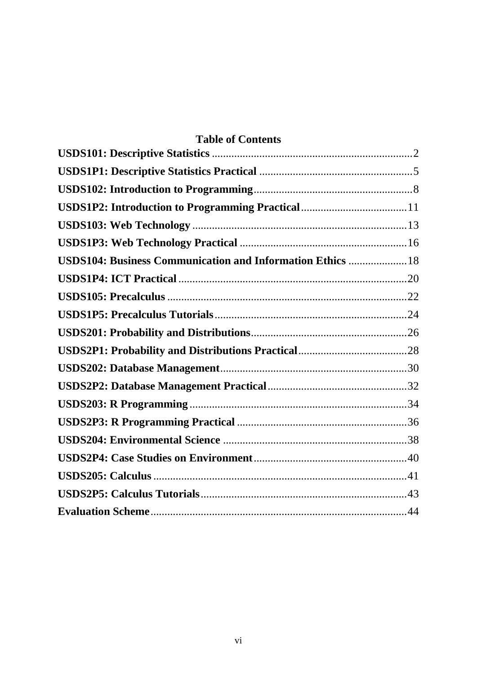| <b>Table of Contents</b>                                   |  |
|------------------------------------------------------------|--|
|                                                            |  |
|                                                            |  |
|                                                            |  |
|                                                            |  |
|                                                            |  |
|                                                            |  |
| USDS104: Business Communication and Information Ethics  18 |  |
|                                                            |  |
|                                                            |  |
|                                                            |  |
|                                                            |  |
|                                                            |  |
|                                                            |  |
|                                                            |  |
|                                                            |  |
|                                                            |  |
|                                                            |  |
|                                                            |  |
|                                                            |  |
|                                                            |  |
|                                                            |  |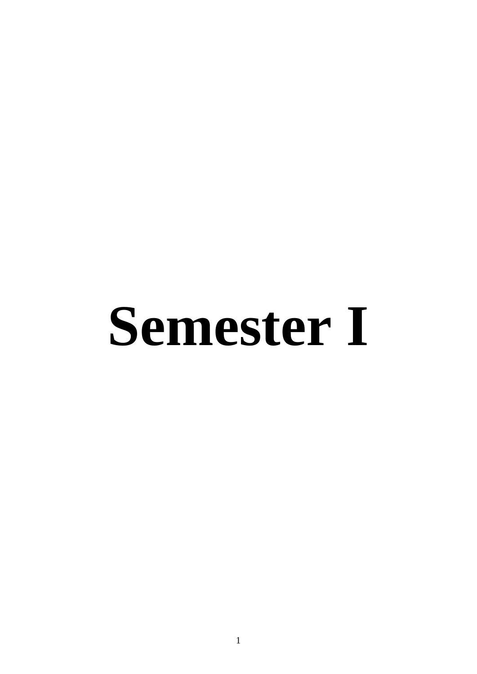# **Semester I**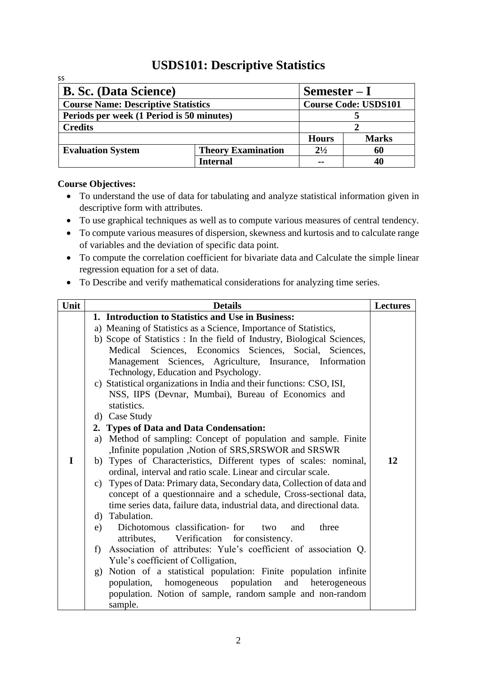## **USDS101: Descriptive Statistics**

<span id="page-7-0"></span>

| SS                                         |                           |              |                             |  |
|--------------------------------------------|---------------------------|--------------|-----------------------------|--|
| <b>B. Sc. (Data Science)</b>               |                           | $Semester-I$ |                             |  |
| <b>Course Name: Descriptive Statistics</b> |                           |              | <b>Course Code: USDS101</b> |  |
| Periods per week (1 Period is 50 minutes)  |                           |              |                             |  |
| <b>Credits</b>                             |                           |              |                             |  |
|                                            |                           | <b>Hours</b> | <b>Marks</b>                |  |
| <b>Evaluation System</b>                   | <b>Theory Examination</b> | $2^{1/2}$    | 60                          |  |
|                                            | <b>Internal</b>           |              |                             |  |

- To understand the use of data for tabulating and analyze statistical information given in descriptive form with attributes.
- To use graphical techniques as well as to compute various measures of central tendency.
- To compute various measures of dispersion, skewness and kurtosis and to calculate range of variables and the deviation of specific data point.
- To compute the correlation coefficient for bivariate data and Calculate the simple linear regression equation for a set of data.
- To Describe and verify mathematical considerations for analyzing time series.

| <b>Details</b>                                                          | <b>Lectures</b>                                                                                                                                                                                                                                                                                                                                                                                                                                                                                                                                                                                                                                                                                                                                                                                                                                                                                                                                                                                                                                                                                                                                                   |
|-------------------------------------------------------------------------|-------------------------------------------------------------------------------------------------------------------------------------------------------------------------------------------------------------------------------------------------------------------------------------------------------------------------------------------------------------------------------------------------------------------------------------------------------------------------------------------------------------------------------------------------------------------------------------------------------------------------------------------------------------------------------------------------------------------------------------------------------------------------------------------------------------------------------------------------------------------------------------------------------------------------------------------------------------------------------------------------------------------------------------------------------------------------------------------------------------------------------------------------------------------|
| 1. Introduction to Statistics and Use in Business:                      |                                                                                                                                                                                                                                                                                                                                                                                                                                                                                                                                                                                                                                                                                                                                                                                                                                                                                                                                                                                                                                                                                                                                                                   |
| a) Meaning of Statistics as a Science, Importance of Statistics,        |                                                                                                                                                                                                                                                                                                                                                                                                                                                                                                                                                                                                                                                                                                                                                                                                                                                                                                                                                                                                                                                                                                                                                                   |
| b) Scope of Statistics : In the field of Industry, Biological Sciences, |                                                                                                                                                                                                                                                                                                                                                                                                                                                                                                                                                                                                                                                                                                                                                                                                                                                                                                                                                                                                                                                                                                                                                                   |
| Medical Sciences, Economics Sciences, Social, Sciences,                 |                                                                                                                                                                                                                                                                                                                                                                                                                                                                                                                                                                                                                                                                                                                                                                                                                                                                                                                                                                                                                                                                                                                                                                   |
| Management Sciences, Agriculture, Insurance, Information                |                                                                                                                                                                                                                                                                                                                                                                                                                                                                                                                                                                                                                                                                                                                                                                                                                                                                                                                                                                                                                                                                                                                                                                   |
| Technology, Education and Psychology.                                   |                                                                                                                                                                                                                                                                                                                                                                                                                                                                                                                                                                                                                                                                                                                                                                                                                                                                                                                                                                                                                                                                                                                                                                   |
|                                                                         |                                                                                                                                                                                                                                                                                                                                                                                                                                                                                                                                                                                                                                                                                                                                                                                                                                                                                                                                                                                                                                                                                                                                                                   |
|                                                                         |                                                                                                                                                                                                                                                                                                                                                                                                                                                                                                                                                                                                                                                                                                                                                                                                                                                                                                                                                                                                                                                                                                                                                                   |
|                                                                         |                                                                                                                                                                                                                                                                                                                                                                                                                                                                                                                                                                                                                                                                                                                                                                                                                                                                                                                                                                                                                                                                                                                                                                   |
|                                                                         |                                                                                                                                                                                                                                                                                                                                                                                                                                                                                                                                                                                                                                                                                                                                                                                                                                                                                                                                                                                                                                                                                                                                                                   |
|                                                                         |                                                                                                                                                                                                                                                                                                                                                                                                                                                                                                                                                                                                                                                                                                                                                                                                                                                                                                                                                                                                                                                                                                                                                                   |
|                                                                         |                                                                                                                                                                                                                                                                                                                                                                                                                                                                                                                                                                                                                                                                                                                                                                                                                                                                                                                                                                                                                                                                                                                                                                   |
|                                                                         |                                                                                                                                                                                                                                                                                                                                                                                                                                                                                                                                                                                                                                                                                                                                                                                                                                                                                                                                                                                                                                                                                                                                                                   |
|                                                                         | 12                                                                                                                                                                                                                                                                                                                                                                                                                                                                                                                                                                                                                                                                                                                                                                                                                                                                                                                                                                                                                                                                                                                                                                |
|                                                                         |                                                                                                                                                                                                                                                                                                                                                                                                                                                                                                                                                                                                                                                                                                                                                                                                                                                                                                                                                                                                                                                                                                                                                                   |
|                                                                         |                                                                                                                                                                                                                                                                                                                                                                                                                                                                                                                                                                                                                                                                                                                                                                                                                                                                                                                                                                                                                                                                                                                                                                   |
|                                                                         |                                                                                                                                                                                                                                                                                                                                                                                                                                                                                                                                                                                                                                                                                                                                                                                                                                                                                                                                                                                                                                                                                                                                                                   |
|                                                                         |                                                                                                                                                                                                                                                                                                                                                                                                                                                                                                                                                                                                                                                                                                                                                                                                                                                                                                                                                                                                                                                                                                                                                                   |
|                                                                         |                                                                                                                                                                                                                                                                                                                                                                                                                                                                                                                                                                                                                                                                                                                                                                                                                                                                                                                                                                                                                                                                                                                                                                   |
|                                                                         |                                                                                                                                                                                                                                                                                                                                                                                                                                                                                                                                                                                                                                                                                                                                                                                                                                                                                                                                                                                                                                                                                                                                                                   |
|                                                                         |                                                                                                                                                                                                                                                                                                                                                                                                                                                                                                                                                                                                                                                                                                                                                                                                                                                                                                                                                                                                                                                                                                                                                                   |
|                                                                         |                                                                                                                                                                                                                                                                                                                                                                                                                                                                                                                                                                                                                                                                                                                                                                                                                                                                                                                                                                                                                                                                                                                                                                   |
|                                                                         |                                                                                                                                                                                                                                                                                                                                                                                                                                                                                                                                                                                                                                                                                                                                                                                                                                                                                                                                                                                                                                                                                                                                                                   |
|                                                                         |                                                                                                                                                                                                                                                                                                                                                                                                                                                                                                                                                                                                                                                                                                                                                                                                                                                                                                                                                                                                                                                                                                                                                                   |
|                                                                         |                                                                                                                                                                                                                                                                                                                                                                                                                                                                                                                                                                                                                                                                                                                                                                                                                                                                                                                                                                                                                                                                                                                                                                   |
|                                                                         |                                                                                                                                                                                                                                                                                                                                                                                                                                                                                                                                                                                                                                                                                                                                                                                                                                                                                                                                                                                                                                                                                                                                                                   |
|                                                                         | c) Statistical organizations in India and their functions: CSO, ISI,<br>NSS, IIPS (Devnar, Mumbai), Bureau of Economics and<br>statistics.<br>Case Study<br>$\mathbf{d}$<br>2. Types of Data and Data Condensation:<br>Method of sampling: Concept of population and sample. Finite<br>a)<br>,Infinite population ,Notion of SRS,SRSWOR and SRSWR<br>b) Types of Characteristics, Different types of scales: nominal,<br>ordinal, interval and ratio scale. Linear and circular scale.<br>c) Types of Data: Primary data, Secondary data, Collection of data and<br>concept of a questionnaire and a schedule, Cross-sectional data,<br>time series data, failure data, industrial data, and directional data.<br>d) Tabulation.<br>Dichotomous classification-for<br>three<br>e)<br>two<br>and<br>attributes, Verification for consistency.<br>f) Association of attributes: Yule's coefficient of association Q.<br>Yule's coefficient of Colligation,<br>Notion of a statistical population: Finite population infinite<br>g)<br>population, homogeneous population and heterogeneous<br>population. Notion of sample, random sample and non-random<br>sample. |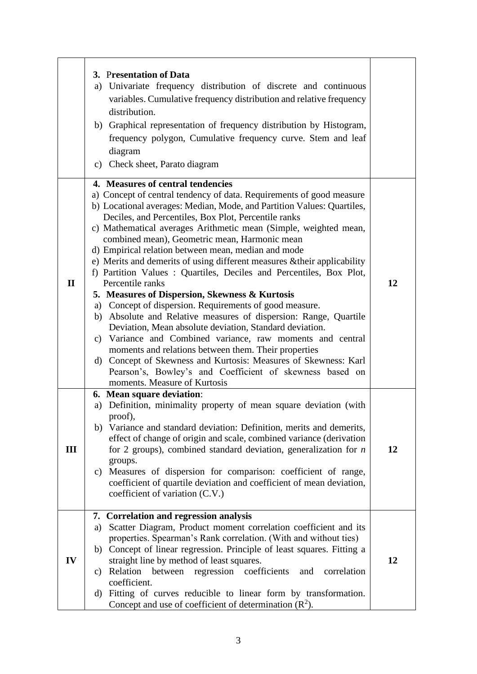|              | 3. Presentation of Data<br>a) Univariate frequency distribution of discrete and continuous<br>variables. Cumulative frequency distribution and relative frequency<br>distribution.<br>b) Graphical representation of frequency distribution by Histogram,<br>frequency polygon, Cumulative frequency curve. Stem and leaf<br>diagram<br>c) Check sheet, Parato diagram                                                                                                                                                                                                                                                                                                                                                                                                                                                                                                                                                                                                                                                                                                                                                         |    |
|--------------|--------------------------------------------------------------------------------------------------------------------------------------------------------------------------------------------------------------------------------------------------------------------------------------------------------------------------------------------------------------------------------------------------------------------------------------------------------------------------------------------------------------------------------------------------------------------------------------------------------------------------------------------------------------------------------------------------------------------------------------------------------------------------------------------------------------------------------------------------------------------------------------------------------------------------------------------------------------------------------------------------------------------------------------------------------------------------------------------------------------------------------|----|
| $\mathbf{I}$ | 4. Measures of central tendencies<br>a) Concept of central tendency of data. Requirements of good measure<br>b) Locational averages: Median, Mode, and Partition Values: Quartiles,<br>Deciles, and Percentiles, Box Plot, Percentile ranks<br>c) Mathematical averages Arithmetic mean (Simple, weighted mean,<br>combined mean), Geometric mean, Harmonic mean<br>d) Empirical relation between mean, median and mode<br>e) Merits and demerits of using different measures & their applicability<br>f) Partition Values: Quartiles, Deciles and Percentiles, Box Plot,<br>Percentile ranks<br>5. Measures of Dispersion, Skewness & Kurtosis<br>a) Concept of dispersion. Requirements of good measure.<br>b) Absolute and Relative measures of dispersion: Range, Quartile<br>Deviation, Mean absolute deviation, Standard deviation.<br>c) Variance and Combined variance, raw moments and central<br>moments and relations between them. Their properties<br>d) Concept of Skewness and Kurtosis: Measures of Skewness: Karl<br>Pearson's, Bowley's and Coefficient of skewness based on<br>moments. Measure of Kurtosis | 12 |
| III          | 6. Mean square deviation:<br>Definition, minimality property of mean square deviation (with<br>a)<br>proof).<br>b) Variance and standard deviation: Definition, merits and demerits,<br>effect of change of origin and scale, combined variance (derivation<br>for 2 groups), combined standard deviation, generalization for $n$<br>groups.<br>Measures of dispersion for comparison: coefficient of range,<br>$\mathbf{c})$<br>coefficient of quartile deviation and coefficient of mean deviation,<br>coefficient of variation (C.V.)                                                                                                                                                                                                                                                                                                                                                                                                                                                                                                                                                                                       | 12 |
| IV           | 7. Correlation and regression analysis<br>Scatter Diagram, Product moment correlation coefficient and its<br>a)<br>properties. Spearman's Rank correlation. (With and without ties)<br>b) Concept of linear regression. Principle of least squares. Fitting a<br>straight line by method of least squares.<br>c) Relation between regression coefficients<br>and<br>correlation<br>coefficient.<br>d) Fitting of curves reducible to linear form by transformation.<br>Concept and use of coefficient of determination $(R^2)$ .                                                                                                                                                                                                                                                                                                                                                                                                                                                                                                                                                                                               | 12 |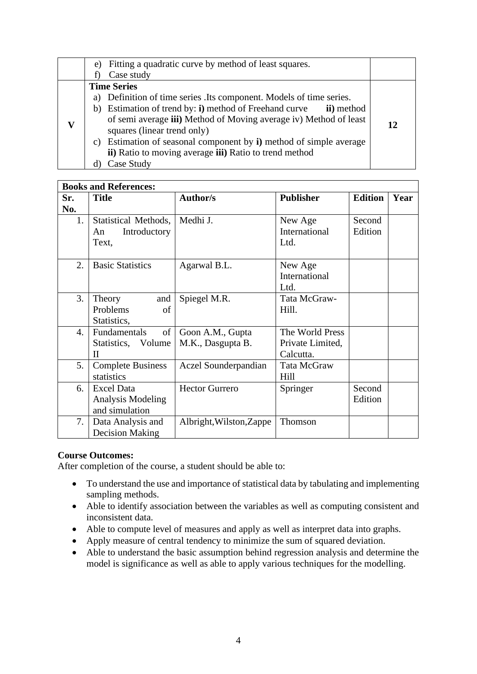| e) | Fitting a quadratic curve by method of least squares.                                            |    |
|----|--------------------------------------------------------------------------------------------------|----|
|    | Case study                                                                                       |    |
|    | <b>Time Series</b>                                                                               |    |
| a) | Definition of time series. Its component. Models of time series.                                 |    |
| b) | Estimation of trend by: <b>i</b> ) method of Freehand curve<br>ii) method                        |    |
|    | of semi average iii) Method of Moving average iv) Method of least<br>squares (linear trend only) | 12 |
| C) | Estimation of seasonal component by i) method of simple average                                  |    |
|    | ii) Ratio to moving average iii) Ratio to trend method                                           |    |
|    | Case Study                                                                                       |    |

|     | <b>Books and References:</b> |                          |                  |                |      |
|-----|------------------------------|--------------------------|------------------|----------------|------|
| Sr. | <b>Title</b>                 | <b>Author/s</b>          | <b>Publisher</b> | <b>Edition</b> | Year |
| No. |                              |                          |                  |                |      |
| 1.  | Statistical Methods,         | Medhi J.                 | New Age          | Second         |      |
|     | Introductory<br>An           |                          | International    | Edition        |      |
|     | Text,                        |                          | Ltd.             |                |      |
|     |                              |                          |                  |                |      |
| 2.  | <b>Basic Statistics</b>      | Agarwal B.L.             | New Age          |                |      |
|     |                              |                          | International    |                |      |
|     |                              |                          | Ltd.             |                |      |
| 3.  | and<br>Theory                | Spiegel M.R.             | Tata McGraw-     |                |      |
|     | Problems<br>of               |                          | Hill.            |                |      |
|     | Statistics,                  |                          |                  |                |      |
| 4.  | of<br>Fundamentals           | Goon A.M., Gupta         | The World Press  |                |      |
|     | Statistics, Volume           | M.K., Dasgupta B.        | Private Limited, |                |      |
|     | $\mathbf{I}$                 |                          | Calcutta.        |                |      |
| 5.  | <b>Complete Business</b>     | Aczel Sounderpandian     | Tata McGraw      |                |      |
|     | statistics                   |                          | Hill             |                |      |
| 6.  | <b>Excel Data</b>            | <b>Hector Gurrero</b>    | Springer         | Second         |      |
|     | Analysis Modeling            |                          |                  | Edition        |      |
|     | and simulation               |                          |                  |                |      |
| 7.  | Data Analysis and            | Albright, Wilston, Zappe | Thomson          |                |      |
|     | <b>Decision Making</b>       |                          |                  |                |      |

- To understand the use and importance of statistical data by tabulating and implementing sampling methods.
- Able to identify association between the variables as well as computing consistent and inconsistent data.
- Able to compute level of measures and apply as well as interpret data into graphs.
- Apply measure of central tendency to minimize the sum of squared deviation.
- Able to understand the basic assumption behind regression analysis and determine the model is significance as well as able to apply various techniques for the modelling.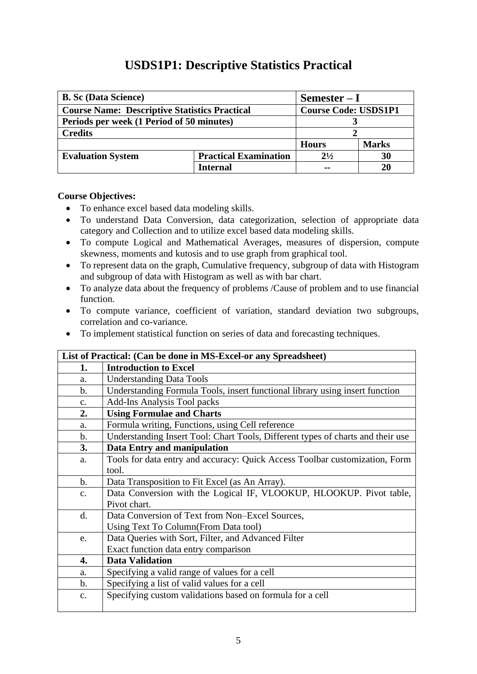## **USDS1P1: Descriptive Statistics Practical**

<span id="page-10-0"></span>

| <b>B.</b> Sc (Data Science)                              |          | $Semester-I$                |              |  |
|----------------------------------------------------------|----------|-----------------------------|--------------|--|
| <b>Course Name: Descriptive Statistics Practical</b>     |          | <b>Course Code: USDS1P1</b> |              |  |
| Periods per week (1 Period of 50 minutes)                |          |                             |              |  |
| <b>Credits</b>                                           |          |                             |              |  |
|                                                          |          | <b>Hours</b>                | <b>Marks</b> |  |
| <b>Practical Examination</b><br><b>Evaluation System</b> |          | $2^{1/2}$                   | 30           |  |
|                                                          | Internal | --                          | 20           |  |

- To enhance excel based data modeling skills.
- To understand Data Conversion, data categorization, selection of appropriate data category and Collection and to utilize excel based data modeling skills.
- To compute Logical and Mathematical Averages, measures of dispersion, compute skewness, moments and kutosis and to use graph from graphical tool.
- To represent data on the graph, Cumulative frequency, subgroup of data with Histogram and subgroup of data with Histogram as well as with bar chart.
- To analyze data about the frequency of problems /Cause of problem and to use financial function.
- To compute variance, coefficient of variation, standard deviation two subgroups, correlation and co-variance.
- To implement statistical function on series of data and forecasting techniques.

|                | List of Practical: (Can be done in MS-Excel-or any Spreadsheet)                 |
|----------------|---------------------------------------------------------------------------------|
| 1.             | <b>Introduction to Excel</b>                                                    |
| a.             | <b>Understanding Data Tools</b>                                                 |
| $\mathbf{b}$ . | Understanding Formula Tools, insert functional library using insert function    |
| $\mathbf{c}$ . | <b>Add-Ins Analysis Tool packs</b>                                              |
| 2.             | <b>Using Formulae and Charts</b>                                                |
| a.             | Formula writing, Functions, using Cell reference                                |
| b.             | Understanding Insert Tool: Chart Tools, Different types of charts and their use |
| 3.             | Data Entry and manipulation                                                     |
| a.             | Tools for data entry and accuracy: Quick Access Toolbar customization, Form     |
|                | tool.                                                                           |
| $\mathbf b$ .  | Data Transposition to Fit Excel (as An Array).                                  |
| C <sub>1</sub> | Data Conversion with the Logical IF, VLOOKUP, HLOOKUP. Pivot table,             |
|                | Pivot chart.                                                                    |
| $\mathbf{d}$ . | Data Conversion of Text from Non-Excel Sources,                                 |
|                | Using Text To Column (From Data tool)                                           |
| e.             | Data Queries with Sort, Filter, and Advanced Filter                             |
|                | Exact function data entry comparison                                            |
| 4.             | <b>Data Validation</b>                                                          |
| a.             | Specifying a valid range of values for a cell                                   |
| $\mathbf{b}$ . | Specifying a list of valid values for a cell                                    |
| $C_{\bullet}$  | Specifying custom validations based on formula for a cell                       |
|                |                                                                                 |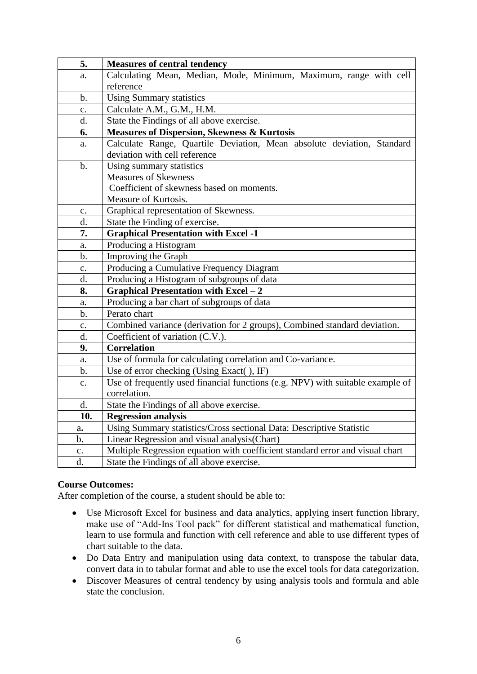| 5.             | <b>Measures of central tendency</b>                                            |
|----------------|--------------------------------------------------------------------------------|
| a.             | Calculating Mean, Median, Mode, Minimum, Maximum, range with cell              |
|                | reference                                                                      |
| $\mathbf b$ .  | <b>Using Summary statistics</b>                                                |
| $\mathbf{c}$ . | Calculate A.M., G.M., H.M.                                                     |
| d.             | State the Findings of all above exercise.                                      |
| 6.             | <b>Measures of Dispersion, Skewness &amp; Kurtosis</b>                         |
| a.             | Calculate Range, Quartile Deviation, Mean absolute deviation, Standard         |
|                | deviation with cell reference                                                  |
| $\mathbf b$ .  | Using summary statistics                                                       |
|                | <b>Measures of Skewness</b>                                                    |
|                | Coefficient of skewness based on moments.                                      |
|                | Measure of Kurtosis.                                                           |
| c.             | Graphical representation of Skewness.                                          |
| d.             | State the Finding of exercise.                                                 |
| 7.             | <b>Graphical Presentation with Excel -1</b>                                    |
| a.             | Producing a Histogram                                                          |
| $b$ .          | Improving the Graph                                                            |
| $\mathbf{c}$ . | Producing a Cumulative Frequency Diagram                                       |
| d.             | Producing a Histogram of subgroups of data                                     |
| 8.             | <b>Graphical Presentation with Excel - 2</b>                                   |
| a.             | Producing a bar chart of subgroups of data                                     |
| $\mathbf b$ .  | Perato chart                                                                   |
| $\mathbf{c}$ . | Combined variance (derivation for 2 groups), Combined standard deviation.      |
| d.             | Coefficient of variation (C.V.).                                               |
| 9.             | <b>Correlation</b>                                                             |
| a.             | Use of formula for calculating correlation and Co-variance.                    |
| $\mathbf b$ .  | Use of error checking (Using Exact(), IF)                                      |
| $\mathbf{c}$ . | Use of frequently used financial functions (e.g. NPV) with suitable example of |
|                | correlation.                                                                   |
| d.             | State the Findings of all above exercise.                                      |
| 10.            | <b>Regression analysis</b>                                                     |
| a.             | Using Summary statistics/Cross sectional Data: Descriptive Statistic           |
| b.             | Linear Regression and visual analysis(Chart)                                   |
| c.             | Multiple Regression equation with coefficient standard error and visual chart  |
| d.             | State the Findings of all above exercise.                                      |

- Use Microsoft Excel for business and data analytics, applying insert function library, make use of "Add-Ins Tool pack" for different statistical and mathematical function, learn to use formula and function with cell reference and able to use different types of chart suitable to the data.
- Do Data Entry and manipulation using data context, to transpose the tabular data, convert data in to tabular format and able to use the excel tools for data categorization.
- Discover Measures of central tendency by using analysis tools and formula and able state the conclusion.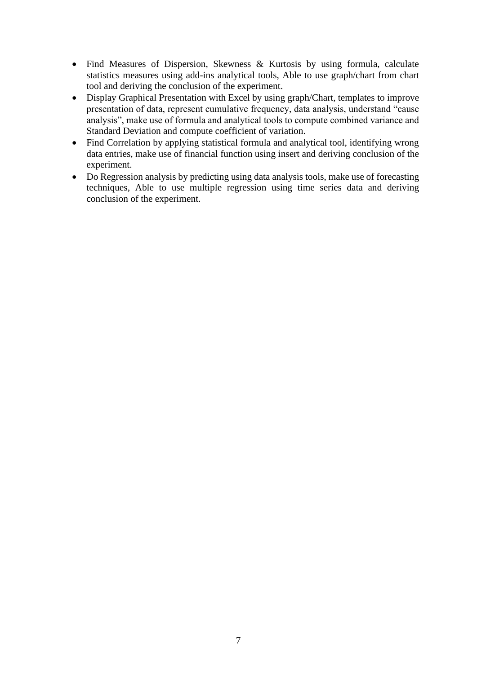- Find Measures of Dispersion, Skewness & Kurtosis by using formula, calculate statistics measures using add-ins analytical tools, Able to use graph/chart from chart tool and deriving the conclusion of the experiment.
- Display Graphical Presentation with Excel by using graph/Chart, templates to improve presentation of data, represent cumulative frequency, data analysis, understand "cause analysis", make use of formula and analytical tools to compute combined variance and Standard Deviation and compute coefficient of variation.
- Find Correlation by applying statistical formula and analytical tool, identifying wrong data entries, make use of financial function using insert and deriving conclusion of the experiment.
- Do Regression analysis by predicting using data analysis tools, make use of forecasting techniques, Able to use multiple regression using time series data and deriving conclusion of the experiment.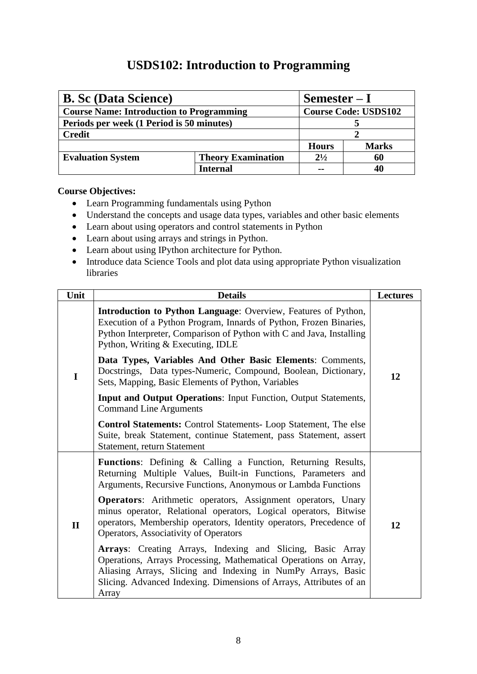## **USDS102: Introduction to Programming**

<span id="page-13-0"></span>

| <b>B. Sc (Data Science)</b><br>$Semester-I$     |                                        |                             |              |
|-------------------------------------------------|----------------------------------------|-----------------------------|--------------|
| <b>Course Name: Introduction to Programming</b> |                                        | <b>Course Code: USDS102</b> |              |
| Periods per week (1 Period is 50 minutes)       |                                        |                             |              |
| <b>Credit</b>                                   |                                        |                             |              |
|                                                 |                                        | <b>Hours</b>                | <b>Marks</b> |
| <b>Evaluation System</b>                        | $2^{1/2}$<br><b>Theory Examination</b> |                             | 60           |
|                                                 | Internal                               |                             |              |

- Learn Programming fundamentals using Python
- Understand the concepts and usage data types, variables and other basic elements
- Learn about using operators and control statements in Python
- Learn about using arrays and strings in Python.
- Learn about using IPython architecture for Python.
- Introduce data Science Tools and plot data using appropriate Python visualization libraries

| Unit         | <b>Details</b>                                                                                                                                                                                                                                                                | <b>Lectures</b> |  |
|--------------|-------------------------------------------------------------------------------------------------------------------------------------------------------------------------------------------------------------------------------------------------------------------------------|-----------------|--|
| I            | Introduction to Python Language: Overview, Features of Python,<br>Execution of a Python Program, Innards of Python, Frozen Binaries,<br>Python Interpreter, Comparison of Python with C and Java, Installing<br>Python, Writing & Executing, IDLE                             |                 |  |
|              | Data Types, Variables And Other Basic Elements: Comments,<br>Docstrings, Data types-Numeric, Compound, Boolean, Dictionary,<br>Sets, Mapping, Basic Elements of Python, Variables                                                                                             |                 |  |
|              | <b>Input and Output Operations: Input Function, Output Statements,</b><br><b>Command Line Arguments</b>                                                                                                                                                                       |                 |  |
|              | <b>Control Statements:</b> Control Statements- Loop Statement, The else<br>Suite, break Statement, continue Statement, pass Statement, assert<br>Statement, return Statement                                                                                                  |                 |  |
| $\mathbf{I}$ | <b>Functions:</b> Defining & Calling a Function, Returning Results,<br>Returning Multiple Values, Built-in Functions, Parameters and<br>Arguments, Recursive Functions, Anonymous or Lambda Functions                                                                         |                 |  |
|              | <b>Operators:</b> Arithmetic operators, Assignment operators, Unary<br>minus operator, Relational operators, Logical operators, Bitwise<br>operators, Membership operators, Identity operators, Precedence of<br>Operators, Associativity of Operators                        | 12              |  |
|              | Arrays: Creating Arrays, Indexing and Slicing, Basic Array<br>Operations, Arrays Processing, Mathematical Operations on Array,<br>Aliasing Arrays, Slicing and Indexing in NumPy Arrays, Basic<br>Slicing. Advanced Indexing. Dimensions of Arrays, Attributes of an<br>Array |                 |  |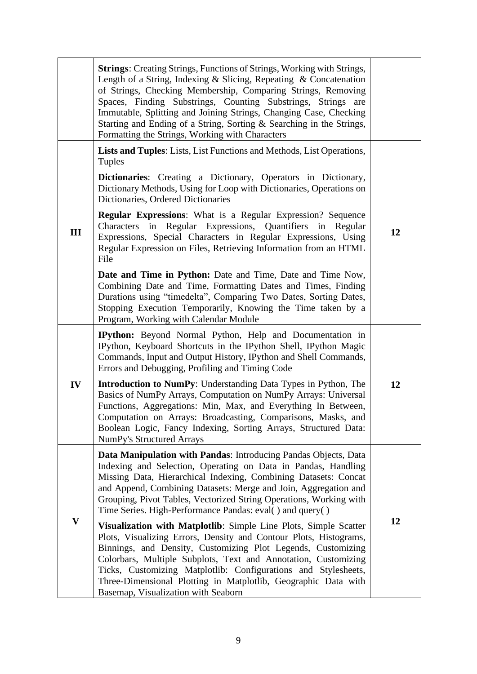|              | <b>Strings:</b> Creating Strings, Functions of Strings, Working with Strings,<br>Length of a String, Indexing & Slicing, Repeating & Concatenation<br>of Strings, Checking Membership, Comparing Strings, Removing<br>Spaces, Finding Substrings, Counting Substrings, Strings are<br>Immutable, Splitting and Joining Strings, Changing Case, Checking<br>Starting and Ending of a String, Sorting & Searching in the Strings,<br>Formatting the Strings, Working with Characters |    |
|--------------|------------------------------------------------------------------------------------------------------------------------------------------------------------------------------------------------------------------------------------------------------------------------------------------------------------------------------------------------------------------------------------------------------------------------------------------------------------------------------------|----|
|              | Lists and Tuples: Lists, List Functions and Methods, List Operations,<br><b>Tuples</b>                                                                                                                                                                                                                                                                                                                                                                                             |    |
|              | <b>Dictionaries:</b> Creating a Dictionary, Operators in Dictionary,<br>Dictionary Methods, Using for Loop with Dictionaries, Operations on<br>Dictionaries, Ordered Dictionaries                                                                                                                                                                                                                                                                                                  |    |
| III          | <b>Regular Expressions:</b> What is a Regular Expression? Sequence<br>Characters in Regular Expressions, Quantifiers in Regular<br>Expressions, Special Characters in Regular Expressions, Using<br>Regular Expression on Files, Retrieving Information from an HTML<br>File                                                                                                                                                                                                       | 12 |
|              | <b>Date and Time in Python:</b> Date and Time, Date and Time Now,<br>Combining Date and Time, Formatting Dates and Times, Finding<br>Durations using "timedelta", Comparing Two Dates, Sorting Dates,<br>Stopping Execution Temporarily, Knowing the Time taken by a<br>Program, Working with Calendar Module                                                                                                                                                                      |    |
|              | IPython: Beyond Normal Python, Help and Documentation in<br>IPython, Keyboard Shortcuts in the IPython Shell, IPython Magic<br>Commands, Input and Output History, IPython and Shell Commands,<br>Errors and Debugging, Profiling and Timing Code                                                                                                                                                                                                                                  |    |
| IV           | <b>Introduction to NumPy:</b> Understanding Data Types in Python, The<br>Basics of NumPy Arrays, Computation on NumPy Arrays: Universal<br>Functions, Aggregations: Min, Max, and Everything In Between,<br>Computation on Arrays: Broadcasting, Comparisons, Masks, and<br>Boolean Logic, Fancy Indexing, Sorting Arrays, Structured Data:<br><b>NumPy's Structured Arrays</b>                                                                                                    | 12 |
|              | Data Manipulation with Pandas: Introducing Pandas Objects, Data<br>Indexing and Selection, Operating on Data in Pandas, Handling<br>Missing Data, Hierarchical Indexing, Combining Datasets: Concat<br>and Append, Combining Datasets: Merge and Join, Aggregation and<br>Grouping, Pivot Tables, Vectorized String Operations, Working with<br>Time Series. High-Performance Pandas: eval() and query()                                                                           |    |
| $\mathbf{V}$ | Visualization with Matplotlib: Simple Line Plots, Simple Scatter<br>Plots, Visualizing Errors, Density and Contour Plots, Histograms,<br>Binnings, and Density, Customizing Plot Legends, Customizing<br>Colorbars, Multiple Subplots, Text and Annotation, Customizing<br>Ticks, Customizing Matplotlib: Configurations and Stylesheets,<br>Three-Dimensional Plotting in Matplotlib, Geographic Data with<br>Basemap, Visualization with Seaborn                                 | 12 |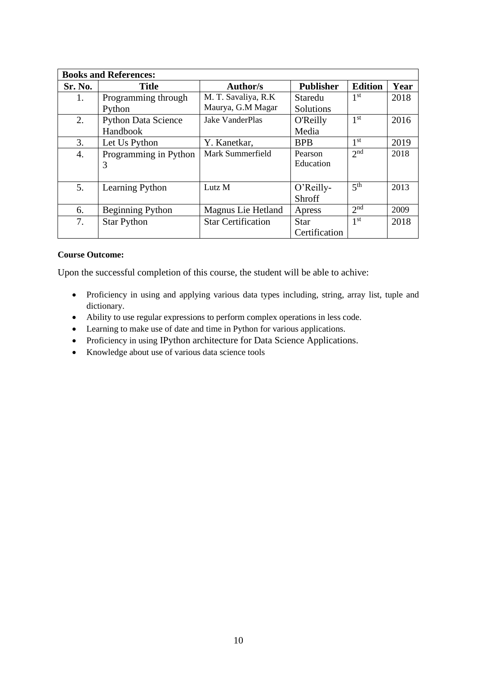|         | <b>Books and References:</b> |                           |                  |                 |      |  |  |  |
|---------|------------------------------|---------------------------|------------------|-----------------|------|--|--|--|
| Sr. No. | <b>Title</b>                 | <b>Author/s</b>           | <b>Publisher</b> | <b>Edition</b>  | Year |  |  |  |
| 1.      | Programming through          | M. T. Savaliya, R.K.      | Staredu          | 1 <sup>st</sup> | 2018 |  |  |  |
|         | Python                       | Maurya, G.M Magar         | Solutions        |                 |      |  |  |  |
| 2.      | <b>Python Data Science</b>   | <b>Jake VanderPlas</b>    | <b>O'Reilly</b>  | 1 <sup>st</sup> | 2016 |  |  |  |
|         | Handbook                     |                           | Media            |                 |      |  |  |  |
| 3.      | Let Us Python                | Y. Kanetkar,              | <b>BPB</b>       | 1 <sup>st</sup> | 2019 |  |  |  |
| 4.      | Programming in Python        | Mark Summerfield          | Pearson          | 2 <sup>nd</sup> | 2018 |  |  |  |
|         | 3                            |                           | Education        |                 |      |  |  |  |
|         |                              |                           |                  |                 |      |  |  |  |
| 5.      | Learning Python              | Lutz M                    | O'Reilly-        | 5 <sup>th</sup> | 2013 |  |  |  |
|         |                              |                           | Shroff           |                 |      |  |  |  |
| 6.      | <b>Beginning Python</b>      | Magnus Lie Hetland        | Apress           | 2 <sup>nd</sup> | 2009 |  |  |  |
| 7.      | <b>Star Python</b>           | <b>Star Certification</b> | <b>Star</b>      | 1 <sup>st</sup> | 2018 |  |  |  |
|         |                              |                           | Certification    |                 |      |  |  |  |

Upon the successful completion of this course, the student will be able to achive:

- Proficiency in using and applying various data types including, string, array list, tuple and dictionary.
- Ability to use regular expressions to perform complex operations in less code.
- Learning to make use of date and time in Python for various applications.
- Proficiency in using IPython architecture for Data Science Applications.
- Knowledge about use of various data science tools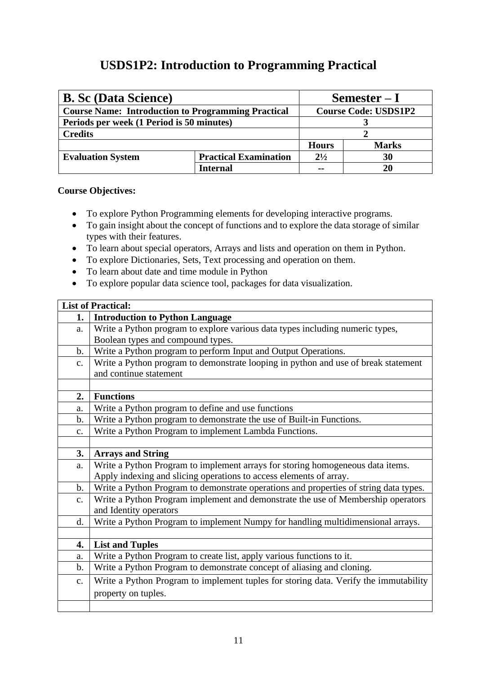## **USDS1P2: Introduction to Programming Practical**

<span id="page-16-0"></span>

| <b>B. Sc (Data Science)</b>                               | $Semester-I$                 |                             |              |
|-----------------------------------------------------------|------------------------------|-----------------------------|--------------|
| <b>Course Name: Introduction to Programming Practical</b> |                              | <b>Course Code: USDS1P2</b> |              |
| Periods per week (1 Period is 50 minutes)                 |                              |                             |              |
| <b>Credits</b>                                            |                              |                             |              |
|                                                           |                              | <b>Hours</b>                | <b>Marks</b> |
| <b>Evaluation System</b>                                  | <b>Practical Examination</b> | $2^{1/2}$<br>30             |              |
|                                                           | Internal                     | 20<br>--                    |              |

- To explore Python Programming elements for developing interactive programs.
- To gain insight about the concept of functions and to explore the data storage of similar types with their features.
- To learn about special operators, Arrays and lists and operation on them in Python.
- To explore Dictionaries, Sets, Text processing and operation on them.
- To learn about date and time module in Python
- To explore popular data science tool, packages for data visualization.

|               | <b>List of Practical:</b>                                                             |  |  |
|---------------|---------------------------------------------------------------------------------------|--|--|
| 1.            | <b>Introduction to Python Language</b>                                                |  |  |
| a.            | Write a Python program to explore various data types including numeric types,         |  |  |
|               | Boolean types and compound types.                                                     |  |  |
| $\mathbf b$ . | Write a Python program to perform Input and Output Operations.                        |  |  |
| c.            | Write a Python program to demonstrate looping in python and use of break statement    |  |  |
|               | and continue statement                                                                |  |  |
|               |                                                                                       |  |  |
| 2.            | <b>Functions</b>                                                                      |  |  |
| a.            | Write a Python program to define and use functions                                    |  |  |
| $\mathbf b$ . | Write a Python program to demonstrate the use of Built-in Functions.                  |  |  |
| $C_{\bullet}$ | Write a Python Program to implement Lambda Functions.                                 |  |  |
|               |                                                                                       |  |  |
| 3.            | <b>Arrays and String</b>                                                              |  |  |
| a.            | Write a Python Program to implement arrays for storing homogeneous data items.        |  |  |
|               | Apply indexing and slicing operations to access elements of array.                    |  |  |
| b.            | Write a Python Program to demonstrate operations and properties of string data types. |  |  |
| $C_{\bullet}$ | Write a Python Program implement and demonstrate the use of Membership operators      |  |  |
|               | and Identity operators                                                                |  |  |
| d.            | Write a Python Program to implement Numpy for handling multidimensional arrays.       |  |  |
|               |                                                                                       |  |  |
| 4.            | <b>List and Tuples</b>                                                                |  |  |
| a.            | Write a Python Program to create list, apply various functions to it.                 |  |  |
| $\mathbf b$ . | Write a Python Program to demonstrate concept of aliasing and cloning.                |  |  |
| $C_{\bullet}$ | Write a Python Program to implement tuples for storing data. Verify the immutability  |  |  |
|               | property on tuples.                                                                   |  |  |
|               |                                                                                       |  |  |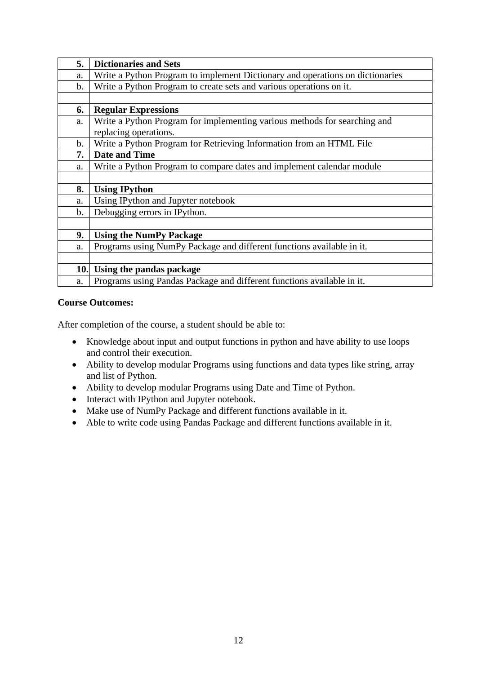| 5.            | <b>Dictionaries and Sets</b>                                                  |
|---------------|-------------------------------------------------------------------------------|
| a.            | Write a Python Program to implement Dictionary and operations on dictionaries |
| $\mathbf b$ . | Write a Python Program to create sets and various operations on it.           |
|               |                                                                               |
| 6.            | <b>Regular Expressions</b>                                                    |
| a.            | Write a Python Program for implementing various methods for searching and     |
|               | replacing operations.                                                         |
| b.            | Write a Python Program for Retrieving Information from an HTML File           |
| 7.            | <b>Date and Time</b>                                                          |
| a.            | Write a Python Program to compare dates and implement calendar module         |
|               |                                                                               |
| 8.            | <b>Using IPython</b>                                                          |
| a.            | Using IPython and Jupyter notebook                                            |
| $b$ .         | Debugging errors in IPython.                                                  |
|               |                                                                               |
| 9.            | <b>Using the NumPy Package</b>                                                |
| a.            | Programs using NumPy Package and different functions available in it.         |
|               |                                                                               |
| 10.           | Using the pandas package                                                      |
| a.            | Programs using Pandas Package and different functions available in it.        |

- Knowledge about input and output functions in python and have ability to use loops and control their execution.
- Ability to develop modular Programs using functions and data types like string, array and list of Python.
- Ability to develop modular Programs using Date and Time of Python.
- Interact with IPython and Jupyter notebook.
- Make use of NumPy Package and different functions available in it.
- Able to write code using Pandas Package and different functions available in it.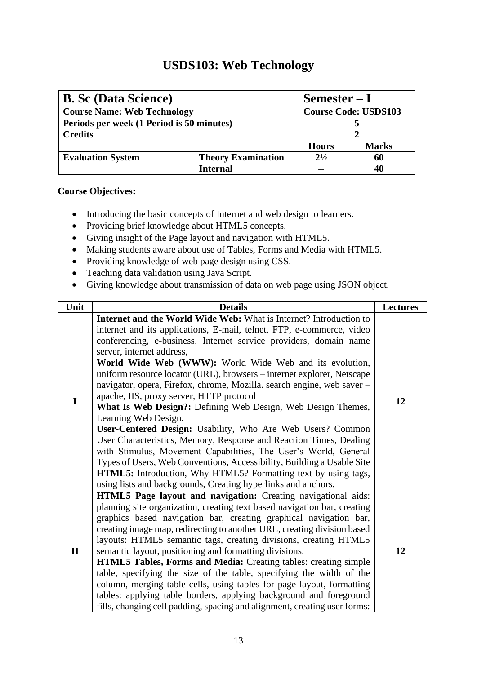## **USDS103: Web Technology**

<span id="page-18-0"></span>

| <b>B. Sc (Data Science)</b>               | $Semester-I$              |                             |              |
|-------------------------------------------|---------------------------|-----------------------------|--------------|
| <b>Course Name: Web Technology</b>        |                           | <b>Course Code: USDS103</b> |              |
| Periods per week (1 Period is 50 minutes) |                           |                             |              |
| <b>Credits</b>                            |                           |                             |              |
|                                           |                           | <b>Hours</b>                | <b>Marks</b> |
| <b>Evaluation System</b>                  | <b>Theory Examination</b> | $2^{1/2}$                   | 60           |
|                                           | Internal                  |                             |              |

- Introducing the basic concepts of Internet and web design to learners.
- Providing brief knowledge about HTML5 concepts.
- Giving insight of the Page layout and navigation with HTML5.
- Making students aware about use of Tables, Forms and Media with HTML5.
- Providing knowledge of web page design using CSS.
- Teaching data validation using Java Script.
- Giving knowledge about transmission of data on web page using JSON object.

| Unit         | <b>Details</b>                                                                                                                                                                                                                                                                                                                                                                                                                                                                                                                                                                                                                                                                                                                                                                                                                                                                                                                                                                                                       | <b>Lectures</b> |
|--------------|----------------------------------------------------------------------------------------------------------------------------------------------------------------------------------------------------------------------------------------------------------------------------------------------------------------------------------------------------------------------------------------------------------------------------------------------------------------------------------------------------------------------------------------------------------------------------------------------------------------------------------------------------------------------------------------------------------------------------------------------------------------------------------------------------------------------------------------------------------------------------------------------------------------------------------------------------------------------------------------------------------------------|-----------------|
| I            | Internet and the World Wide Web: What is Internet? Introduction to<br>internet and its applications, E-mail, telnet, FTP, e-commerce, video<br>conferencing, e-business. Internet service providers, domain name<br>server, internet address,<br>World Wide Web (WWW): World Wide Web and its evolution,<br>uniform resource locator (URL), browsers – internet explorer, Netscape<br>navigator, opera, Firefox, chrome, Mozilla. search engine, web saver -<br>apache, IIS, proxy server, HTTP protocol<br>What Is Web Design?: Defining Web Design, Web Design Themes,<br>Learning Web Design.<br>User-Centered Design: Usability, Who Are Web Users? Common<br>User Characteristics, Memory, Response and Reaction Times, Dealing<br>with Stimulus, Movement Capabilities, The User's World, General<br>Types of Users, Web Conventions, Accessibility, Building a Usable Site<br>HTML5: Introduction, Why HTML5? Formatting text by using tags,<br>using lists and backgrounds, Creating hyperlinks and anchors. | 12              |
| $\mathbf{I}$ | HTML5 Page layout and navigation: Creating navigational aids:<br>planning site organization, creating text based navigation bar, creating<br>graphics based navigation bar, creating graphical navigation bar,<br>creating image map, redirecting to another URL, creating division based<br>layouts: HTML5 semantic tags, creating divisions, creating HTML5<br>semantic layout, positioning and formatting divisions.<br>HTML5 Tables, Forms and Media: Creating tables: creating simple<br>table, specifying the size of the table, specifying the width of the<br>column, merging table cells, using tables for page layout, formatting<br>tables: applying table borders, applying background and foreground<br>fills, changing cell padding, spacing and alignment, creating user forms:                                                                                                                                                                                                                       | 12              |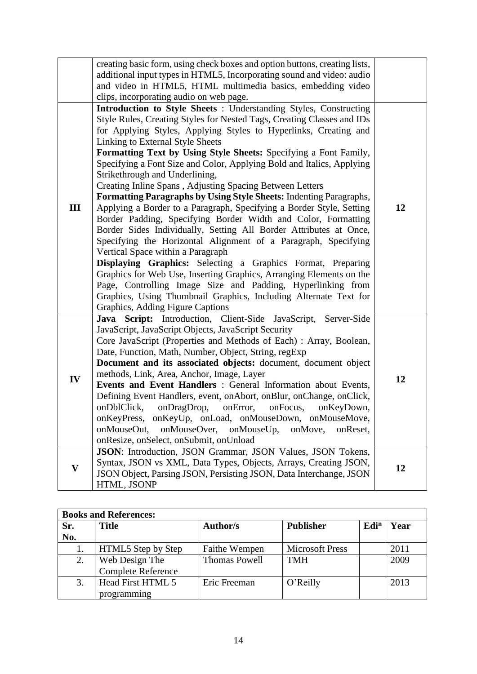|              | creating basic form, using check boxes and option buttons, creating lists,<br>additional input types in HTML5, Incorporating sound and video: audio<br>and video in HTML5, HTML multimedia basics, embedding video<br>clips, incorporating audio on web page.                                                                                                                                                                                                                                                                                                                                                                                                                                                                                                                                                                                                                                                                                                                                                                                                                                                                                                                                          |    |
|--------------|--------------------------------------------------------------------------------------------------------------------------------------------------------------------------------------------------------------------------------------------------------------------------------------------------------------------------------------------------------------------------------------------------------------------------------------------------------------------------------------------------------------------------------------------------------------------------------------------------------------------------------------------------------------------------------------------------------------------------------------------------------------------------------------------------------------------------------------------------------------------------------------------------------------------------------------------------------------------------------------------------------------------------------------------------------------------------------------------------------------------------------------------------------------------------------------------------------|----|
| Ш            | Introduction to Style Sheets : Understanding Styles, Constructing<br>Style Rules, Creating Styles for Nested Tags, Creating Classes and IDs<br>for Applying Styles, Applying Styles to Hyperlinks, Creating and<br>Linking to External Style Sheets<br>Formatting Text by Using Style Sheets: Specifying a Font Family,<br>Specifying a Font Size and Color, Applying Bold and Italics, Applying<br>Strikethrough and Underlining,<br>Creating Inline Spans, Adjusting Spacing Between Letters<br>Formatting Paragraphs by Using Style Sheets: Indenting Paragraphs,<br>Applying a Border to a Paragraph, Specifying a Border Style, Setting<br>Border Padding, Specifying Border Width and Color, Formatting<br>Border Sides Individually, Setting All Border Attributes at Once,<br>Specifying the Horizontal Alignment of a Paragraph, Specifying<br>Vertical Space within a Paragraph<br>Displaying Graphics: Selecting a Graphics Format, Preparing<br>Graphics for Web Use, Inserting Graphics, Arranging Elements on the<br>Page, Controlling Image Size and Padding, Hyperlinking from<br>Graphics, Using Thumbnail Graphics, Including Alternate Text for<br>Graphics, Adding Figure Captions | 12 |
| IV           | Java Script: Introduction, Client-Side JavaScript, Server-Side<br>JavaScript, JavaScript Objects, JavaScript Security<br>Core JavaScript (Properties and Methods of Each) : Array, Boolean,<br>Date, Function, Math, Number, Object, String, regExp<br>Document and its associated objects: document, document object<br>methods, Link, Area, Anchor, Image, Layer<br>Events and Event Handlers : General Information about Events,<br>Defining Event Handlers, event, onAbort, onBlur, onChange, onClick,<br>onDblClick, onDragDrop, onError, onFocus,<br>onKeyDown,<br>onKeyPress, onKeyUp, onLoad, onMouseDown, onMouseMove,<br>onMouseOut,<br>onMouseOver,<br>onMouseUp,<br>onMove,<br>onReset,<br>onResize, onSelect, onSubmit, onUnload                                                                                                                                                                                                                                                                                                                                                                                                                                                          | 12 |
| $\mathbf{V}$ | JSON: Introduction, JSON Grammar, JSON Values, JSON Tokens,<br>Syntax, JSON vs XML, Data Types, Objects, Arrays, Creating JSON,<br>JSON Object, Parsing JSON, Persisting JSON, Data Interchange, JSON<br>HTML, JSONP                                                                                                                                                                                                                                                                                                                                                                                                                                                                                                                                                                                                                                                                                                                                                                                                                                                                                                                                                                                   | 12 |

|     | <b>Books and References:</b> |                      |                        |                  |      |  |  |
|-----|------------------------------|----------------------|------------------------|------------------|------|--|--|
| Sr. | <b>Title</b>                 | <b>Author/s</b>      | <b>Publisher</b>       | Edi <sup>n</sup> | Year |  |  |
| No. |                              |                      |                        |                  |      |  |  |
|     | HTML5 Step by Step           | Faithe Wempen        | <b>Microsoft Press</b> |                  | 2011 |  |  |
| 2.  | Web Design The               | <b>Thomas Powell</b> | <b>TMH</b>             |                  | 2009 |  |  |
|     | Complete Reference           |                      |                        |                  |      |  |  |
|     | Head First HTML 5            | Eric Freeman         | O'Reilly               |                  | 2013 |  |  |
|     | programming                  |                      |                        |                  |      |  |  |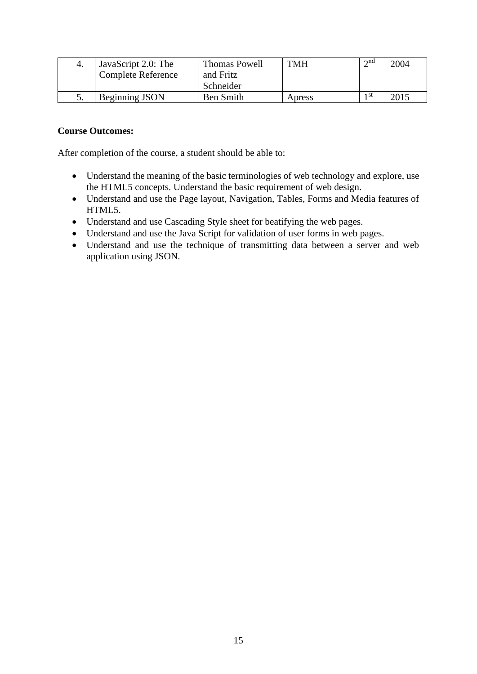| JavaScript 2.0: The       | Thomas Powell | <b>TMH</b> | $\Delta$ nd | 2004 |
|---------------------------|---------------|------------|-------------|------|
| <b>Complete Reference</b> | and Fritz     |            |             |      |
|                           | Schneider     |            |             |      |
| Beginning JSON            | Ben Smith     | Apress     | 1 st        | 2015 |

- Understand the meaning of the basic terminologies of web technology and explore, use the HTML5 concepts. Understand the basic requirement of web design.
- Understand and use the Page layout, Navigation, Tables, Forms and Media features of HTML5.
- Understand and use Cascading Style sheet for beatifying the web pages.
- Understand and use the Java Script for validation of user forms in web pages.
- Understand and use the technique of transmitting data between a server and web application using JSON.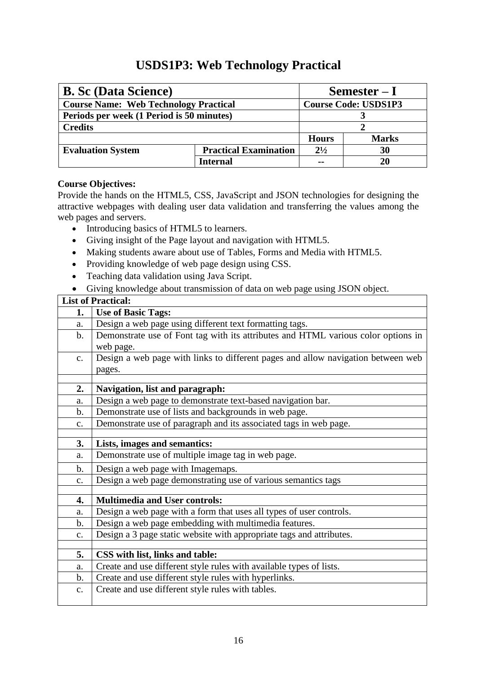## **USDS1P3: Web Technology Practical**

<span id="page-21-0"></span>

| <b>B. Sc (Data Science)</b>                  |                              | Semester $-I$               |              |
|----------------------------------------------|------------------------------|-----------------------------|--------------|
| <b>Course Name: Web Technology Practical</b> |                              | <b>Course Code: USDS1P3</b> |              |
| Periods per week (1 Period is 50 minutes)    |                              |                             |              |
| <b>Credits</b>                               |                              |                             |              |
|                                              |                              | <b>Hours</b>                | <b>Marks</b> |
| <b>Evaluation System</b>                     | <b>Practical Examination</b> | $2^{1/2}$                   | 30           |
|                                              | Internal                     | --                          | 20           |

#### **Course Objectives:**

Provide the hands on the HTML5, CSS, JavaScript and JSON technologies for designing the attractive webpages with dealing user data validation and transferring the values among the web pages and servers.

- Introducing basics of HTML5 to learners.
- Giving insight of the Page layout and navigation with HTML5.
- Making students aware about use of Tables, Forms and Media with HTML5.
- Providing knowledge of web page design using CSS.
- Teaching data validation using Java Script.
- Giving knowledge about transmission of data on web page using JSON object.

|                | <b>List of Practical:</b>                                                         |
|----------------|-----------------------------------------------------------------------------------|
| 1.             | <b>Use of Basic Tags:</b>                                                         |
| a.             | Design a web page using different text formatting tags.                           |
| $\mathbf{b}$ . | Demonstrate use of Font tag with its attributes and HTML various color options in |
|                | web page.                                                                         |
| $C_{\bullet}$  | Design a web page with links to different pages and allow navigation between web  |
|                | pages.                                                                            |
|                |                                                                                   |
| 2.             | Navigation, list and paragraph:                                                   |
| a.             | Design a web page to demonstrate text-based navigation bar.                       |
| $\mathbf b$ .  | Demonstrate use of lists and backgrounds in web page.                             |
| c.             | Demonstrate use of paragraph and its associated tags in web page.                 |
|                |                                                                                   |
| 3.             | Lists, images and semantics:                                                      |
| a.             | Demonstrate use of multiple image tag in web page.                                |
| $\mathbf b$ .  | Design a web page with Imagemaps.                                                 |
| $C_{\bullet}$  | Design a web page demonstrating use of various semantics tags                     |
|                |                                                                                   |
| 4.             | <b>Multimedia and User controls:</b>                                              |
| a.             | Design a web page with a form that uses all types of user controls.               |
| $b$ .          | Design a web page embedding with multimedia features.                             |
| c.             | Design a 3 page static website with appropriate tags and attributes.              |
|                |                                                                                   |
| 5.             | CSS with list, links and table:                                                   |
| a.             | Create and use different style rules with available types of lists.               |
| b.             | Create and use different style rules with hyperlinks.                             |
| $C_{\bullet}$  | Create and use different style rules with tables.                                 |
|                |                                                                                   |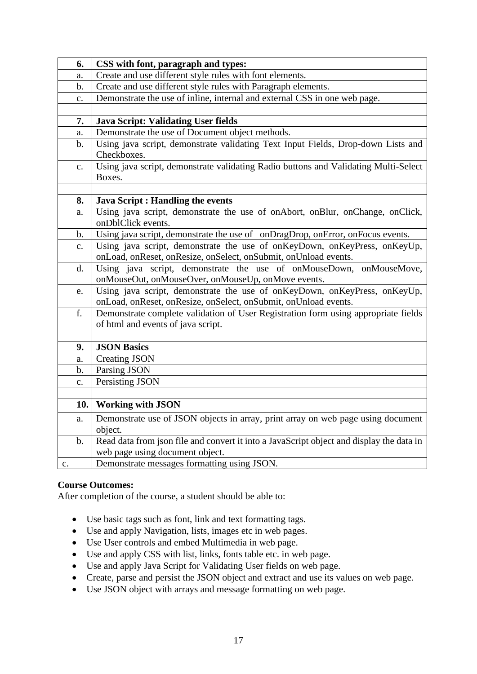| 6.             | CSS with font, paragraph and types:                                                                                                          |
|----------------|----------------------------------------------------------------------------------------------------------------------------------------------|
| a.             | Create and use different style rules with font elements.                                                                                     |
| b.             | Create and use different style rules with Paragraph elements.                                                                                |
| $\mathbf{c}$ . | Demonstrate the use of inline, internal and external CSS in one web page.                                                                    |
|                |                                                                                                                                              |
| 7.             | <b>Java Script: Validating User fields</b>                                                                                                   |
| a.             | Demonstrate the use of Document object methods.                                                                                              |
| $\mathbf{b}$ . | Using java script, demonstrate validating Text Input Fields, Drop-down Lists and<br>Checkboxes.                                              |
| $\mathbf{c}$ . | Using java script, demonstrate validating Radio buttons and Validating Multi-Select<br>Boxes.                                                |
|                |                                                                                                                                              |
| 8.             | <b>Java Script : Handling the events</b>                                                                                                     |
| a.             | Using java script, demonstrate the use of onAbort, onBlur, onChange, onClick,<br>onDblClick events.                                          |
| $\mathbf b$ .  | Using java script, demonstrate the use of onDragDrop, onError, onFocus events.                                                               |
| $\mathbf{c}$ . | Using java script, demonstrate the use of onKeyDown, onKeyPress, onKeyUp,<br>onLoad, onReset, onResize, onSelect, onSubmit, onUnload events. |
| d.             | Using java script, demonstrate the use of onMouseDown, onMouseMove,<br>onMouseOut, onMouseOver, onMouseUp, onMove events.                    |
| e.             | Using java script, demonstrate the use of onKeyDown, onKeyPress, onKeyUp,<br>onLoad, onReset, onResize, onSelect, onSubmit, onUnload events. |
| f.             | Demonstrate complete validation of User Registration form using appropriate fields<br>of html and events of java script.                     |
|                |                                                                                                                                              |
| 9.             | <b>JSON Basics</b>                                                                                                                           |
| a.             | <b>Creating JSON</b>                                                                                                                         |
| b.             | Parsing JSON                                                                                                                                 |
| $\mathbf{c}$ . | Persisting JSON                                                                                                                              |
|                |                                                                                                                                              |
| 10.            | <b>Working with JSON</b>                                                                                                                     |
| a.             | Demonstrate use of JSON objects in array, print array on web page using document                                                             |
|                | object.                                                                                                                                      |
| $\mathbf{b}$ . | Read data from json file and convert it into a JavaScript object and display the data in                                                     |
|                | web page using document object.                                                                                                              |
| c.             | Demonstrate messages formatting using JSON.                                                                                                  |

- Use basic tags such as font, link and text formatting tags.
- Use and apply Navigation, lists, images etc in web pages.
- Use User controls and embed Multimedia in web page.
- Use and apply CSS with list, links, fonts table etc. in web page.
- Use and apply Java Script for Validating User fields on web page.
- Create, parse and persist the JSON object and extract and use its values on web page.
- Use JSON object with arrays and message formatting on web page.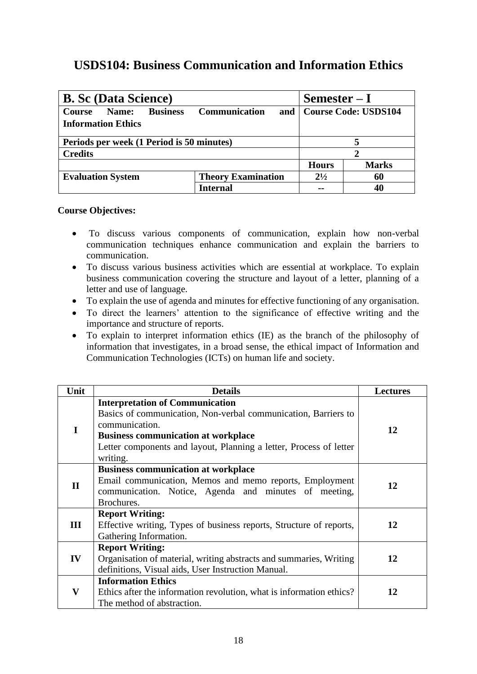## <span id="page-23-0"></span>**USDS104: Business Communication and Information Ethics**

| <b>B. Sc (Data Science)</b>                                            | $Semester-I$                |                             |              |  |
|------------------------------------------------------------------------|-----------------------------|-----------------------------|--------------|--|
| <b>Business</b><br>Name:<br><b>Course</b><br><b>Information Ethics</b> | <b>Communication</b><br>and | <b>Course Code: USDS104</b> |              |  |
| Periods per week (1 Period is 50 minutes)                              |                             |                             |              |  |
| <b>Credits</b>                                                         |                             |                             |              |  |
|                                                                        |                             | <b>Hours</b>                | <b>Marks</b> |  |
| <b>Evaluation System</b>                                               | <b>Theory Examination</b>   | $2^{1/2}$                   | 60           |  |
|                                                                        | Internal                    | --                          | 40           |  |

- To discuss various components of communication, explain how non-verbal communication techniques enhance communication and explain the barriers to communication.
- To discuss various business activities which are essential at workplace. To explain business communication covering the structure and layout of a letter, planning of a letter and use of language.
- To explain the use of agenda and minutes for effective functioning of any organisation.
- To direct the learners' attention to the significance of effective writing and the importance and structure of reports.
- To explain to interpret information ethics (IE) as the branch of the philosophy of information that investigates, in a broad sense, the ethical impact of Information and Communication Technologies (ICTs) on human life and society.

| Unit        | <b>Details</b>                                                                                                                                                                                                                                             | <b>Lectures</b> |
|-------------|------------------------------------------------------------------------------------------------------------------------------------------------------------------------------------------------------------------------------------------------------------|-----------------|
|             | <b>Interpretation of Communication</b><br>Basics of communication, Non-verbal communication, Barriers to<br>communication.<br><b>Business communication at workplace</b><br>Letter components and layout, Planning a letter, Process of letter<br>writing. | 12              |
| $\mathbf H$ | <b>Business communication at workplace</b><br>Email communication, Memos and memo reports, Employment<br>communication. Notice, Agenda and minutes of meeting,<br>Brochures.                                                                               | 12              |
| Ш           | <b>Report Writing:</b><br>Effective writing, Types of business reports, Structure of reports,<br>Gathering Information.                                                                                                                                    | 12              |
| IV          | <b>Report Writing:</b><br>Organisation of material, writing abstracts and summaries, Writing<br>definitions, Visual aids, User Instruction Manual.                                                                                                         | 12              |
| V           | <b>Information Ethics</b><br>Ethics after the information revolution, what is information ethics?<br>The method of abstraction.                                                                                                                            | 12              |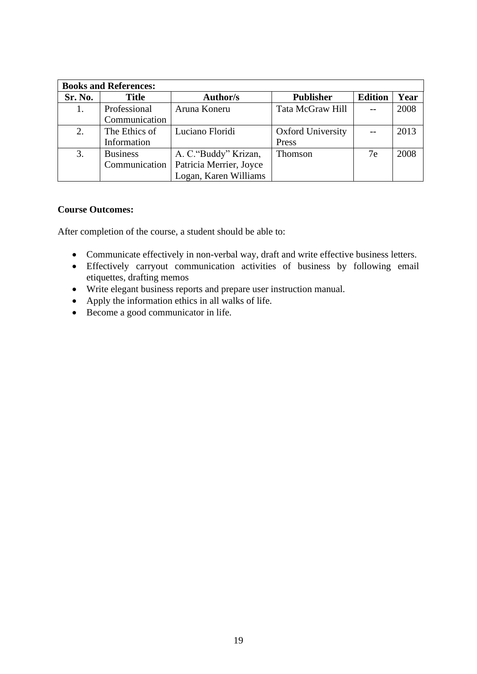| <b>Books and References:</b> |                 |                         |                          |                |      |
|------------------------------|-----------------|-------------------------|--------------------------|----------------|------|
| Sr. No.                      | <b>Title</b>    | <b>Author/s</b>         | <b>Publisher</b>         | <b>Edition</b> | Year |
|                              | Professional    | Aruna Koneru            | Tata McGraw Hill         |                | 2008 |
|                              | Communication   |                         |                          |                |      |
| 2.                           | The Ethics of   | Luciano Floridi         | <b>Oxford University</b> |                | 2013 |
|                              | Information     |                         | Press                    |                |      |
| 3.                           | <b>Business</b> | A. C. "Buddy" Krizan,   | Thomson                  | 7e             | 2008 |
|                              | Communication   | Patricia Merrier, Joyce |                          |                |      |
|                              |                 | Logan, Karen Williams   |                          |                |      |

- Communicate effectively in non-verbal way, draft and write effective business letters.
- Effectively carryout communication activities of business by following email etiquettes, drafting memos
- Write elegant business reports and prepare user instruction manual.
- Apply the information ethics in all walks of life.
- Become a good communicator in life.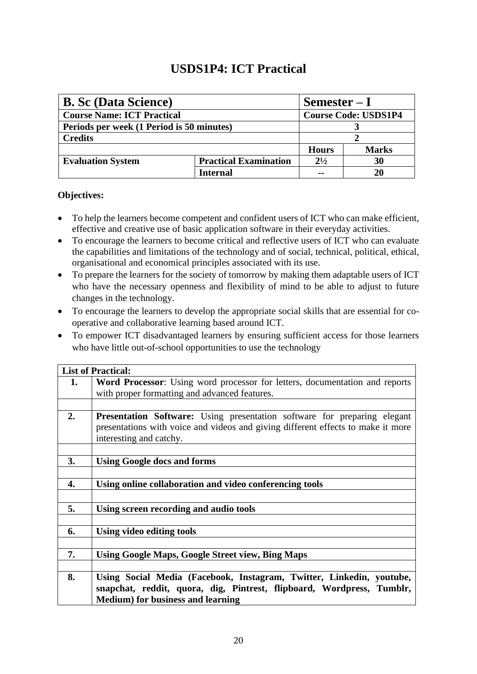## **USDS1P4: ICT Practical**

<span id="page-25-0"></span>

| <b>B. Sc (Data Science)</b>               |                              | $Semester-I$                |              |  |
|-------------------------------------------|------------------------------|-----------------------------|--------------|--|
| <b>Course Name: ICT Practical</b>         |                              | <b>Course Code: USDS1P4</b> |              |  |
| Periods per week (1 Period is 50 minutes) |                              |                             |              |  |
| <b>Credits</b>                            |                              |                             |              |  |
|                                           |                              | <b>Hours</b>                | <b>Marks</b> |  |
| <b>Evaluation System</b>                  | <b>Practical Examination</b> | $2^{1/2}$                   | 30           |  |
|                                           | <b>Internal</b>              |                             |              |  |

#### **Objectives:**

- To help the learners become competent and confident users of ICT who can make efficient, effective and creative use of basic application software in their everyday activities.
- To encourage the learners to become critical and reflective users of ICT who can evaluate the capabilities and limitations of the technology and of social, technical, political, ethical, organisational and economical principles associated with its use.
- To prepare the learners for the society of tomorrow by making them adaptable users of ICT who have the necessary openness and flexibility of mind to be able to adjust to future changes in the technology.
- To encourage the learners to develop the appropriate social skills that are essential for cooperative and collaborative learning based around ICT.
- To empower ICT disadvantaged learners by ensuring sufficient access for those learners who have little out-of-school opportunities to use the technology

|    | <b>List of Practical:</b>                                                          |
|----|------------------------------------------------------------------------------------|
| 1. | <b>Word Processor:</b> Using word processor for letters, documentation and reports |
|    | with proper formatting and advanced features.                                      |
|    |                                                                                    |
| 2. | <b>Presentation Software:</b> Using presentation software for preparing elegant    |
|    | presentations with voice and videos and giving different effects to make it more   |
|    | interesting and catchy.                                                            |
|    |                                                                                    |
| 3. | <b>Using Google docs and forms</b>                                                 |
|    |                                                                                    |
| 4. | Using online collaboration and video conferencing tools                            |
|    |                                                                                    |
| 5. | Using screen recording and audio tools                                             |
|    |                                                                                    |
| 6. | Using video editing tools                                                          |
|    |                                                                                    |
| 7. | <b>Using Google Maps, Google Street view, Bing Maps</b>                            |
|    |                                                                                    |
| 8. | Using Social Media (Facebook, Instagram, Twitter, Linkedin, youtube,               |
|    | snapchat, reddit, quora, dig, Pintrest, flipboard, Wordpress, Tumblr,              |
|    | <b>Medium</b> ) for business and learning                                          |
|    |                                                                                    |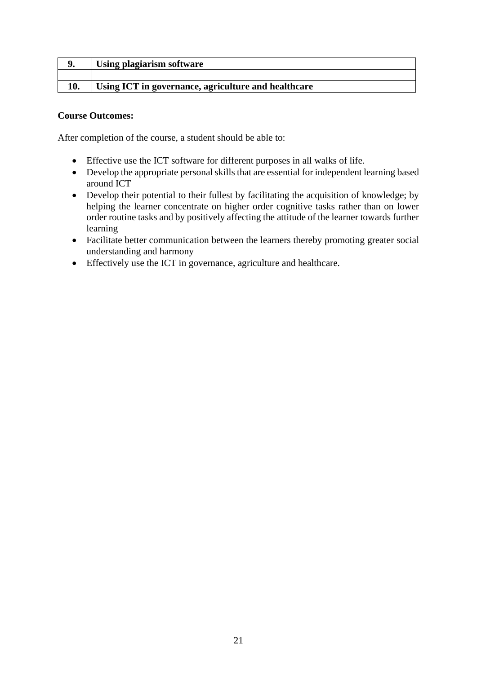|     | <b>Using plagiarism software</b>                    |
|-----|-----------------------------------------------------|
|     |                                                     |
| 10. | Using ICT in governance, agriculture and healthcare |

- Effective use the ICT software for different purposes in all walks of life.
- Develop the appropriate personal skills that are essential for independent learning based around ICT
- Develop their potential to their fullest by facilitating the acquisition of knowledge; by helping the learner concentrate on higher order cognitive tasks rather than on lower order routine tasks and by positively affecting the attitude of the learner towards further learning
- Facilitate better communication between the learners thereby promoting greater social understanding and harmony
- Effectively use the ICT in governance, agriculture and healthcare.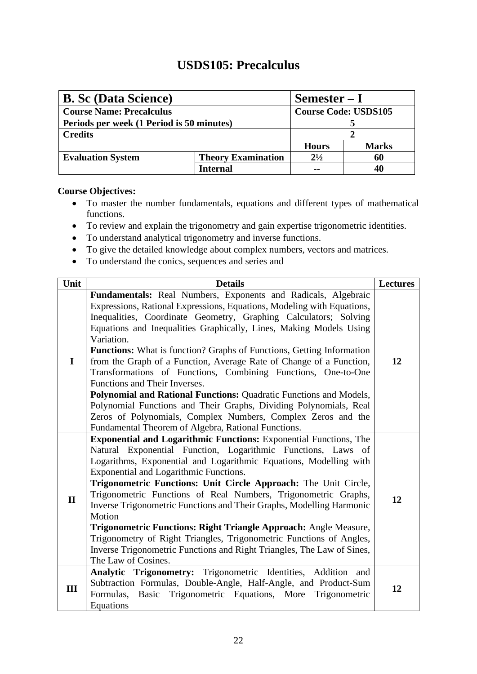## **USDS105: Precalculus**

<span id="page-27-0"></span>

| <b>B. Sc (Data Science)</b>               |                           | $Semester-I$                |              |
|-------------------------------------------|---------------------------|-----------------------------|--------------|
| <b>Course Name: Precalculus</b>           |                           | <b>Course Code: USDS105</b> |              |
| Periods per week (1 Period is 50 minutes) |                           |                             |              |
| <b>Credits</b>                            |                           |                             |              |
|                                           |                           | <b>Hours</b>                | <b>Marks</b> |
| <b>Evaluation System</b>                  | <b>Theory Examination</b> | $2^{1/2}$                   | 60           |
|                                           | Internal                  |                             |              |

- To master the number fundamentals, equations and different types of mathematical functions.
- To review and explain the trigonometry and gain expertise trigonometric identities.
- To understand analytical trigonometry and inverse functions.
- To give the detailed knowledge about complex numbers, vectors and matrices.
- To understand the conics, sequences and series and

| Unit         | <b>Details</b>                                                                                                                                                                                                                                                                                                                                                                                                                                                                                                                                                                                                                                                                                                                                                                                                             | <b>Lectures</b> |
|--------------|----------------------------------------------------------------------------------------------------------------------------------------------------------------------------------------------------------------------------------------------------------------------------------------------------------------------------------------------------------------------------------------------------------------------------------------------------------------------------------------------------------------------------------------------------------------------------------------------------------------------------------------------------------------------------------------------------------------------------------------------------------------------------------------------------------------------------|-----------------|
| $\mathbf I$  | Fundamentals: Real Numbers, Exponents and Radicals, Algebraic<br>Expressions, Rational Expressions, Equations, Modeling with Equations,<br>Inequalities, Coordinate Geometry, Graphing Calculators; Solving<br>Equations and Inequalities Graphically, Lines, Making Models Using<br>Variation.<br><b>Functions:</b> What is function? Graphs of Functions, Getting Information<br>from the Graph of a Function, Average Rate of Change of a Function,<br>Transformations of Functions, Combining Functions, One-to-One<br>Functions and Their Inverses.<br>Polynomial and Rational Functions: Quadratic Functions and Models,<br>Polynomial Functions and Their Graphs, Dividing Polynomials, Real<br>Zeros of Polynomials, Complex Numbers, Complex Zeros and the<br>Fundamental Theorem of Algebra, Rational Functions. | 12              |
| $\mathbf{I}$ | <b>Exponential and Logarithmic Functions:</b> Exponential Functions, The<br>Natural Exponential Function, Logarithmic Functions, Laws of<br>Logarithms, Exponential and Logarithmic Equations, Modelling with<br>Exponential and Logarithmic Functions.<br>Trigonometric Functions: Unit Circle Approach: The Unit Circle,<br>Trigonometric Functions of Real Numbers, Trigonometric Graphs,<br>Inverse Trigonometric Functions and Their Graphs, Modelling Harmonic<br>Motion<br>Trigonometric Functions: Right Triangle Approach: Angle Measure,<br>Trigonometry of Right Triangles, Trigonometric Functions of Angles,<br>Inverse Trigonometric Functions and Right Triangles, The Law of Sines,<br>The Law of Cosines.                                                                                                 | 12              |
| III          | Analytic Trigonometry: Trigonometric Identities, Addition<br>and<br>Subtraction Formulas, Double-Angle, Half-Angle, and Product-Sum<br>Basic Trigonometric Equations, More Trigonometric<br>Formulas,<br>Equations                                                                                                                                                                                                                                                                                                                                                                                                                                                                                                                                                                                                         | 12              |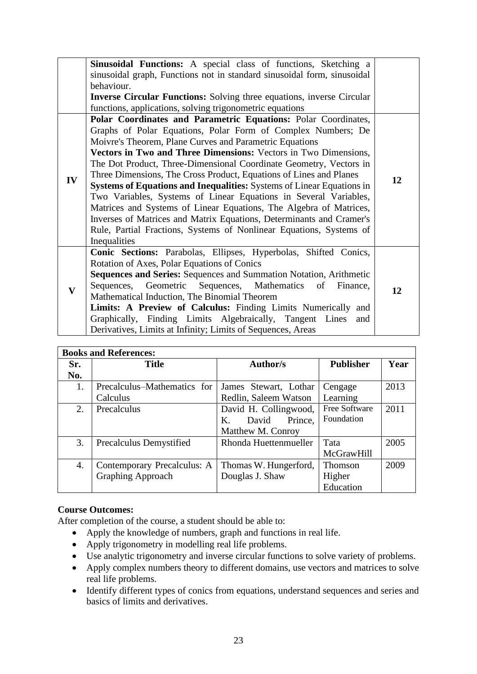|                         | <b>Sinusoidal Functions:</b> A special class of functions, Sketching a                |    |
|-------------------------|---------------------------------------------------------------------------------------|----|
|                         | sinusoidal graph, Functions not in standard sinusoidal form, sinusoidal<br>behaviour. |    |
|                         | <b>Inverse Circular Functions:</b> Solving three equations, inverse Circular          |    |
|                         | functions, applications, solving trigonometric equations                              |    |
|                         | Polar Coordinates and Parametric Equations: Polar Coordinates,                        |    |
|                         | Graphs of Polar Equations, Polar Form of Complex Numbers; De                          |    |
|                         | Moivre's Theorem, Plane Curves and Parametric Equations                               |    |
|                         | Vectors in Two and Three Dimensions: Vectors in Two Dimensions,                       |    |
|                         | The Dot Product, Three-Dimensional Coordinate Geometry, Vectors in                    |    |
|                         | Three Dimensions, The Cross Product, Equations of Lines and Planes                    |    |
| IV                      | <b>Systems of Equations and Inequalities:</b> Systems of Linear Equations in          | 12 |
|                         | Two Variables, Systems of Linear Equations in Several Variables,                      |    |
|                         | Matrices and Systems of Linear Equations, The Algebra of Matrices,                    |    |
|                         | Inverses of Matrices and Matrix Equations, Determinants and Cramer's                  |    |
|                         | Rule, Partial Fractions, Systems of Nonlinear Equations, Systems of                   |    |
|                         | Inequalities                                                                          |    |
|                         | Conic Sections: Parabolas, Ellipses, Hyperbolas, Shifted Conics,                      |    |
|                         | Rotation of Axes, Polar Equations of Conics                                           |    |
|                         | Sequences and Series: Sequences and Summation Notation, Arithmetic                    |    |
|                         | Sequences, Geometric Sequences, Mathematics of<br>Finance,                            |    |
| $\overline{\mathbf{V}}$ | Mathematical Induction, The Binomial Theorem                                          | 12 |
|                         | Limits: A Preview of Calculus: Finding Limits Numerically and                         |    |
|                         | Graphically, Finding Limits Algebraically, Tangent Lines<br>and                       |    |
|                         | Derivatives, Limits at Infinity; Limits of Sequences, Areas                           |    |

| <b>Books and References:</b> |                             |                                    |                  |      |  |
|------------------------------|-----------------------------|------------------------------------|------------------|------|--|
| Sr.                          | <b>Title</b>                | <b>Author/s</b>                    | <b>Publisher</b> | Year |  |
| No.                          |                             |                                    |                  |      |  |
| 1.                           | Precalculus–Mathematics for | James Stewart, Lothar              | Cengage          | 2013 |  |
|                              | Calculus                    | Redlin, Saleem Watson              | Learning         |      |  |
| 2.                           | Precalculus                 | David H. Collingwood,              | Free Software    | 2011 |  |
|                              |                             | David<br>Prince.<br>$\mathbf{K}$ . | Foundation       |      |  |
|                              |                             | Matthew M. Conroy                  |                  |      |  |
| 3.                           | Precalculus Demystified     | Rhonda Huettenmueller              | Tata             | 2005 |  |
|                              |                             |                                    | McGrawHill       |      |  |
| 4.                           | Contemporary Precalculus: A | Thomas W. Hungerford,              | Thomson          | 2009 |  |
|                              | <b>Graphing Approach</b>    | Douglas J. Shaw                    | Higher           |      |  |
|                              |                             |                                    | Education        |      |  |

- Apply the knowledge of numbers, graph and functions in real life.
- Apply trigonometry in modelling real life problems.
- Use analytic trigonometry and inverse circular functions to solve variety of problems.
- Apply complex numbers theory to different domains, use vectors and matrices to solve real life problems.
- Identify different types of conics from equations, understand sequences and series and basics of limits and derivatives.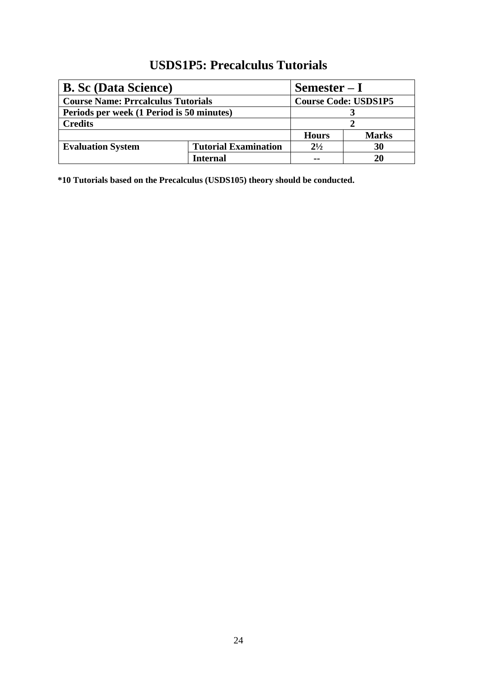## **USDS1P5: Precalculus Tutorials**

<span id="page-29-0"></span>

| <b>B.</b> Sc (Data Science)               |                             | $Semester-I$                |              |
|-------------------------------------------|-----------------------------|-----------------------------|--------------|
| <b>Course Name: Prrcalculus Tutorials</b> |                             | <b>Course Code: USDS1P5</b> |              |
| Periods per week (1 Period is 50 minutes) |                             |                             |              |
| <b>Credits</b>                            |                             |                             |              |
|                                           |                             | <b>Hours</b>                | <b>Marks</b> |
| <b>Evaluation System</b>                  | <b>Tutorial Examination</b> | $2^{1/2}$                   | 30           |
|                                           | Internal                    | $\sim$ $\sim$               | 20           |

**\*10 Tutorials based on the Precalculus (USDS105) theory should be conducted.**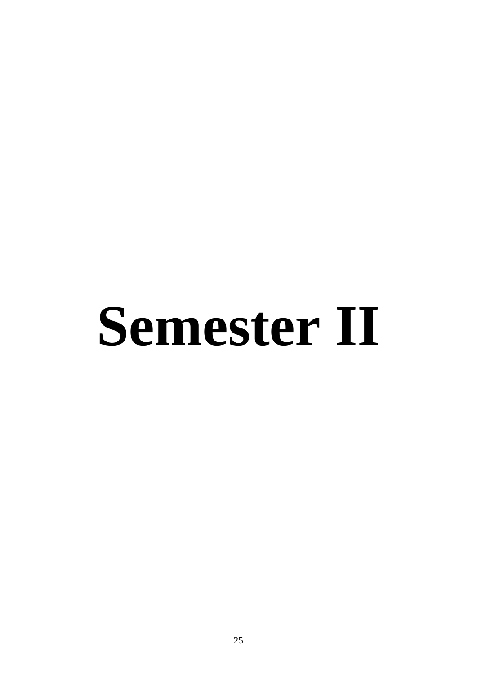# **Semester II**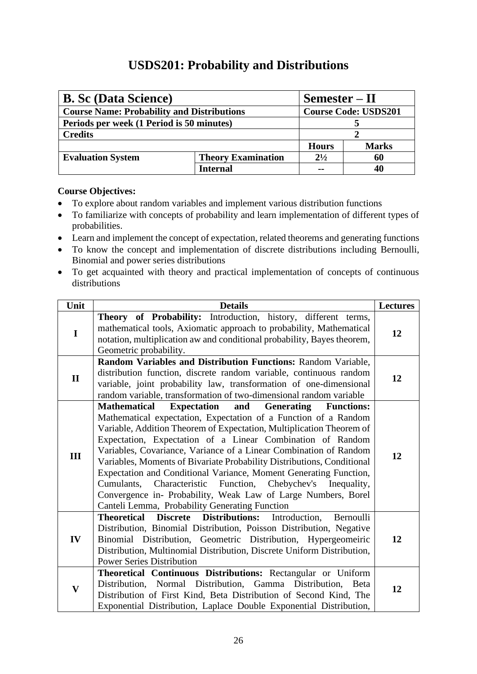## **USDS201: Probability and Distributions**

<span id="page-31-0"></span>

| <b>B. Sc (Data Science)</b><br>Semester – II      |                           |              |                             |  |
|---------------------------------------------------|---------------------------|--------------|-----------------------------|--|
| <b>Course Name: Probability and Distributions</b> |                           |              | <b>Course Code: USDS201</b> |  |
| Periods per week (1 Period is 50 minutes)         |                           |              |                             |  |
| <b>Credits</b>                                    |                           |              |                             |  |
|                                                   |                           | <b>Hours</b> | <b>Marks</b>                |  |
| <b>Evaluation System</b>                          | <b>Theory Examination</b> | $2^{1/2}$    | 60                          |  |
|                                                   | Internal                  | $\sim$       |                             |  |

- To explore about random variables and implement various distribution functions
- To familiarize with concepts of probability and learn implementation of different types of probabilities.
- Learn and implement the concept of expectation, related theorems and generating functions
- To know the concept and implementation of discrete distributions including Bernoulli, Binomial and power series distributions
- To get acquainted with theory and practical implementation of concepts of continuous distributions

| Unit         | <b>Details</b>                                                                                                                                                                                                                                                                                                                                                                                                                                                                                                                                                                                                                                                                                                  | <b>Lectures</b> |
|--------------|-----------------------------------------------------------------------------------------------------------------------------------------------------------------------------------------------------------------------------------------------------------------------------------------------------------------------------------------------------------------------------------------------------------------------------------------------------------------------------------------------------------------------------------------------------------------------------------------------------------------------------------------------------------------------------------------------------------------|-----------------|
| $\mathbf I$  | Theory of Probability: Introduction, history, different terms,<br>mathematical tools, Axiomatic approach to probability, Mathematical<br>notation, multiplication aw and conditional probability, Bayes theorem,<br>Geometric probability.                                                                                                                                                                                                                                                                                                                                                                                                                                                                      | 12              |
| $\mathbf{I}$ | Random Variables and Distribution Functions: Random Variable,<br>distribution function, discrete random variable, continuous random<br>variable, joint probability law, transformation of one-dimensional<br>random variable, transformation of two-dimensional random variable                                                                                                                                                                                                                                                                                                                                                                                                                                 | 12              |
| III          | <b>Expectation</b><br><b>Mathematical</b><br>and<br><b>Generating</b><br><b>Functions:</b><br>Mathematical expectation, Expectation of a Function of a Random<br>Variable, Addition Theorem of Expectation, Multiplication Theorem of<br>Expectation, Expectation of a Linear Combination of Random<br>Variables, Covariance, Variance of a Linear Combination of Random<br>Variables, Moments of Bivariate Probability Distributions, Conditional<br>Expectation and Conditional Variance, Moment Generating Function,<br>Characteristic Function, Chebychev's<br>Cumulants,<br>Inequality,<br>Convergence in- Probability, Weak Law of Large Numbers, Borel<br>Canteli Lemma, Probability Generating Function | 12              |
| IV           | Discrete Distributions:<br><b>Theoretical</b><br>Introduction,<br>Bernoulli<br>Distribution, Binomial Distribution, Poisson Distribution, Negative<br>Binomial Distribution, Geometric Distribution, Hypergeometric<br>Distribution, Multinomial Distribution, Discrete Uniform Distribution,<br><b>Power Series Distribution</b>                                                                                                                                                                                                                                                                                                                                                                               | 12              |
| $\mathbf{V}$ | Theoretical Continuous Distributions: Rectangular or Uniform<br>Distribution, Normal Distribution, Gamma Distribution,<br><b>B</b> eta<br>Distribution of First Kind, Beta Distribution of Second Kind, The<br>Exponential Distribution, Laplace Double Exponential Distribution,                                                                                                                                                                                                                                                                                                                                                                                                                               | 12              |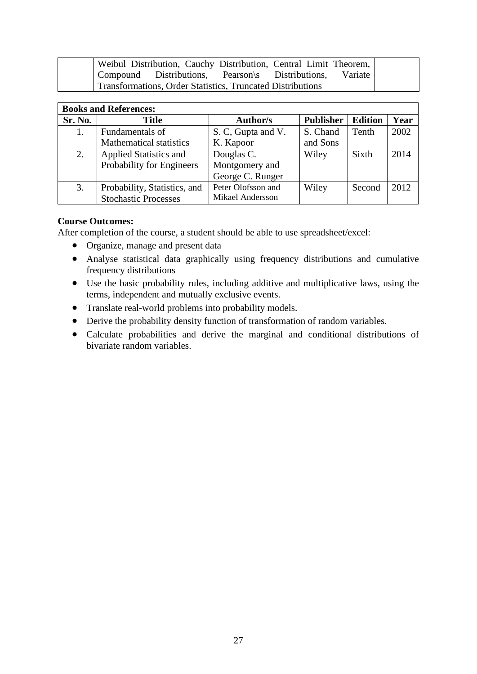|  | Weibul Distribution, Cauchy Distribution, Central Limit Theorem, |         |  |
|--|------------------------------------------------------------------|---------|--|
|  | Compound Distributions, Pearson's Distributions,                 | Variate |  |
|  | Transformations, Order Statistics, Truncated Distributions       |         |  |

| <b>Books and References:</b> |                                |                         |                  |                |      |
|------------------------------|--------------------------------|-------------------------|------------------|----------------|------|
| Sr. No.                      | <b>Title</b>                   | Author/s                | <b>Publisher</b> | <b>Edition</b> | Year |
| 1.                           | Fundamentals of                | S. C, Gupta and V.      | S. Chand         | Tenth          | 2002 |
|                              | <b>Mathematical statistics</b> | K. Kapoor               | and Sons         |                |      |
| 2.                           | Applied Statistics and         | Douglas C.              | Wiley            | Sixth          | 2014 |
|                              | Probability for Engineers      | Montgomery and          |                  |                |      |
|                              |                                | George C. Runger        |                  |                |      |
| 3.                           | Probability, Statistics, and   | Peter Olofsson and      | Wiley            | Second         | 2012 |
|                              | <b>Stochastic Processes</b>    | <b>Mikael Andersson</b> |                  |                |      |

After completion of the course, a student should be able to use spreadsheet/excel:

- Organize, manage and present data
- Analyse statistical data graphically using frequency distributions and cumulative frequency distributions
- Use the basic probability rules, including additive and multiplicative laws, using the terms, independent and mutually exclusive events.
- Translate real-world problems into probability models.
- Derive the probability density function of transformation of random variables.
- Calculate probabilities and derive the marginal and conditional distributions of bivariate random variables.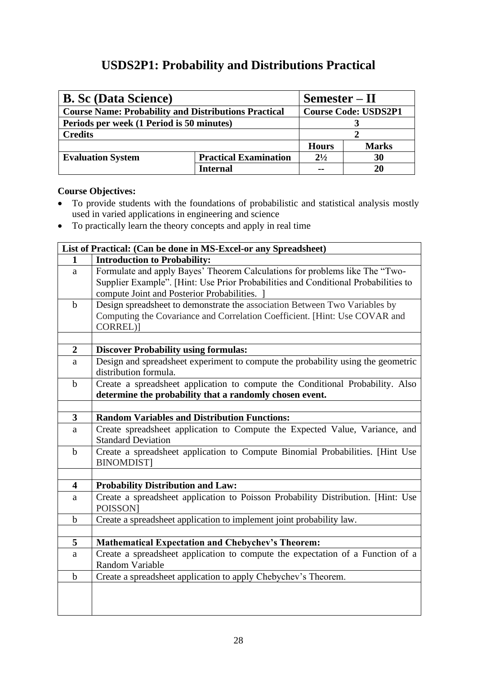## **USDS2P1: Probability and Distributions Practical**

<span id="page-33-0"></span>

| <b>B. Sc (Data Science)</b>                                 | Semester – II                |                             |              |
|-------------------------------------------------------------|------------------------------|-----------------------------|--------------|
| <b>Course Name: Probability and Distributions Practical</b> |                              | <b>Course Code: USDS2P1</b> |              |
| Periods per week (1 Period is 50 minutes)                   |                              |                             |              |
| <b>Credits</b>                                              |                              |                             |              |
|                                                             |                              | <b>Hours</b>                | <b>Marks</b> |
| <b>Evaluation System</b>                                    | <b>Practical Examination</b> | $2^{1/2}$                   | 30           |
|                                                             | Internal                     | $\sim$                      |              |

- To provide students with the foundations of probabilistic and statistical analysis mostly used in varied applications in engineering and science
- To practically learn the theory concepts and apply in real time

|                         | List of Practical: (Can be done in MS-Excel-or any Spreadsheet)                                           |  |  |  |
|-------------------------|-----------------------------------------------------------------------------------------------------------|--|--|--|
| 1                       | <b>Introduction to Probability:</b>                                                                       |  |  |  |
| a                       | Formulate and apply Bayes' Theorem Calculations for problems like The "Two-                               |  |  |  |
|                         | Supplier Example". [Hint: Use Prior Probabilities and Conditional Probabilities to                        |  |  |  |
|                         | compute Joint and Posterior Probabilities. ]                                                              |  |  |  |
| $\mathbf b$             | Design spreadsheet to demonstrate the association Between Two Variables by                                |  |  |  |
|                         | Computing the Covariance and Correlation Coefficient. [Hint: Use COVAR and                                |  |  |  |
|                         | CORREL)]                                                                                                  |  |  |  |
|                         |                                                                                                           |  |  |  |
| $\boldsymbol{2}$        | <b>Discover Probability using formulas:</b>                                                               |  |  |  |
| a                       | Design and spreadsheet experiment to compute the probability using the geometric<br>distribution formula. |  |  |  |
| $\mathbf b$             | Create a spreadsheet application to compute the Conditional Probability. Also                             |  |  |  |
|                         | determine the probability that a randomly chosen event.                                                   |  |  |  |
|                         |                                                                                                           |  |  |  |
| $\mathbf{3}$            | <b>Random Variables and Distribution Functions:</b>                                                       |  |  |  |
| a                       | Create spreadsheet application to Compute the Expected Value, Variance, and<br><b>Standard Deviation</b>  |  |  |  |
| $\mathbf b$             | Create a spreadsheet application to Compute Binomial Probabilities. [Hint Use<br><b>BINOMDIST]</b>        |  |  |  |
|                         |                                                                                                           |  |  |  |
| $\overline{\mathbf{4}}$ | <b>Probability Distribution and Law:</b>                                                                  |  |  |  |
| a                       | Create a spreadsheet application to Poisson Probability Distribution. [Hint: Use<br><b>POISSON</b>        |  |  |  |
| $\mathbf b$             | Create a spreadsheet application to implement joint probability law.                                      |  |  |  |
|                         |                                                                                                           |  |  |  |
| 5                       | <b>Mathematical Expectation and Chebychev's Theorem:</b>                                                  |  |  |  |
| a                       | Create a spreadsheet application to compute the expectation of a Function of a<br>Random Variable         |  |  |  |
| $\mathbf b$             | Create a spreadsheet application to apply Chebychev's Theorem.                                            |  |  |  |
|                         |                                                                                                           |  |  |  |
|                         |                                                                                                           |  |  |  |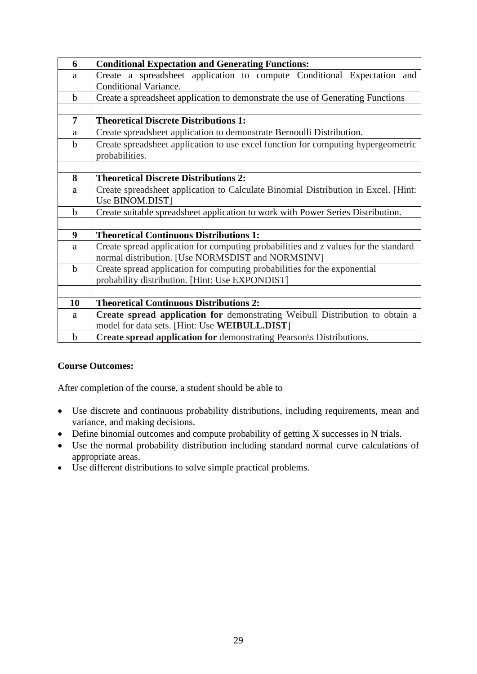| 6           | <b>Conditional Expectation and Generating Functions:</b>                            |
|-------------|-------------------------------------------------------------------------------------|
| a           | Create a spreadsheet application to compute Conditional Expectation and             |
|             | Conditional Variance.                                                               |
| $\mathbf b$ | Create a spreadsheet application to demonstrate the use of Generating Functions     |
|             |                                                                                     |
| 7           | <b>Theoretical Discrete Distributions 1:</b>                                        |
| a           | Create spreadsheet application to demonstrate Bernoulli Distribution.               |
| $\mathbf b$ | Create spreadsheet application to use excel function for computing hypergeometric   |
|             | probabilities.                                                                      |
|             |                                                                                     |
| 8           | <b>Theoretical Discrete Distributions 2:</b>                                        |
| a           | Create spreadsheet application to Calculate Binomial Distribution in Excel. [Hint:  |
|             | Use BINOM.DIST]                                                                     |
| $\mathbf b$ | Create suitable spreadsheet application to work with Power Series Distribution.     |
|             |                                                                                     |
| 9           | <b>Theoretical Continuous Distributions 1:</b>                                      |
| a           | Create spread application for computing probabilities and z values for the standard |
|             | normal distribution. [Use NORMSDIST and NORMSINV]                                   |
| $\mathbf b$ | Create spread application for computing probabilities for the exponential           |
|             | probability distribution. [Hint: Use EXPONDIST]                                     |
|             |                                                                                     |
| 10          | <b>Theoretical Continuous Distributions 2:</b>                                      |
| a           | Create spread application for demonstrating Weibull Distribution to obtain a        |
|             | model for data sets. [Hint: Use WEIBULL.DIST]                                       |
| $\mathbf b$ | <b>Create spread application for demonstrating Pearson</b> \s Distributions.        |

- Use discrete and continuous probability distributions, including requirements, mean and variance, and making decisions.
- Define binomial outcomes and compute probability of getting X successes in N trials.
- Use the normal probability distribution including standard normal curve calculations of appropriate areas.
- Use different distributions to solve simple practical problems.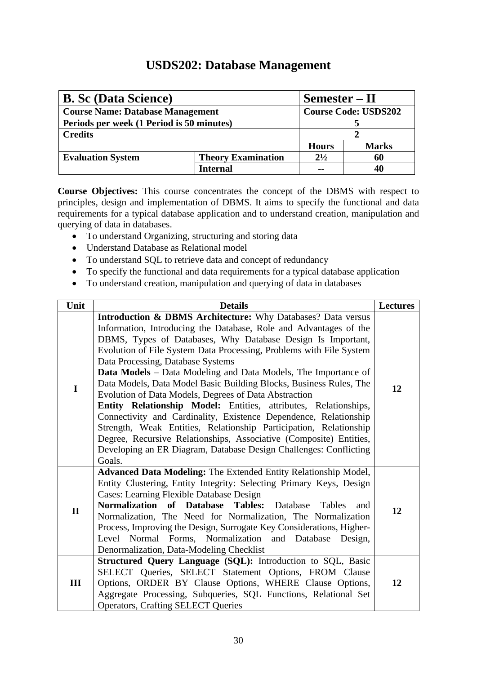## **USDS202: Database Management**

<span id="page-35-0"></span>

| <b>B. Sc (Data Science)</b>               | Semester – II             |                             |              |
|-------------------------------------------|---------------------------|-----------------------------|--------------|
| <b>Course Name: Database Management</b>   |                           | <b>Course Code: USDS202</b> |              |
| Periods per week (1 Period is 50 minutes) |                           |                             |              |
| <b>Credits</b>                            |                           |                             |              |
|                                           |                           | <b>Hours</b>                | <b>Marks</b> |
| <b>Evaluation System</b>                  | <b>Theory Examination</b> | $2^{1/2}$                   | 60           |
|                                           | Internal                  | $\sim$                      |              |

**Course Objectives:** This course concentrates the concept of the DBMS with respect to principles, design and implementation of DBMS. It aims to specify the functional and data requirements for a typical database application and to understand creation, manipulation and querying of data in databases.

- To understand Organizing, structuring and storing data
- Understand Database as Relational model
- To understand SQL to retrieve data and concept of redundancy
- To specify the functional and data requirements for a typical database application
- To understand creation, manipulation and querying of data in databases

| Unit         | <b>Details</b>                                                                                                                                                                                                                                                                                                                                                                                                                                                                                                                                                                                                                                                                                                                                                                                                                                                                            | <b>Lectures</b> |
|--------------|-------------------------------------------------------------------------------------------------------------------------------------------------------------------------------------------------------------------------------------------------------------------------------------------------------------------------------------------------------------------------------------------------------------------------------------------------------------------------------------------------------------------------------------------------------------------------------------------------------------------------------------------------------------------------------------------------------------------------------------------------------------------------------------------------------------------------------------------------------------------------------------------|-----------------|
| I            | <b>Introduction &amp; DBMS Architecture:</b> Why Databases? Data versus<br>Information, Introducing the Database, Role and Advantages of the<br>DBMS, Types of Databases, Why Database Design Is Important,<br>Evolution of File System Data Processing, Problems with File System<br>Data Processing, Database Systems<br>Data Models - Data Modeling and Data Models, The Importance of<br>Data Models, Data Model Basic Building Blocks, Business Rules, The<br>Evolution of Data Models, Degrees of Data Abstraction<br>Entity Relationship Model: Entities, attributes, Relationships,<br>Connectivity and Cardinality, Existence Dependence, Relationship<br>Strength, Weak Entities, Relationship Participation, Relationship<br>Degree, Recursive Relationships, Associative (Composite) Entities,<br>Developing an ER Diagram, Database Design Challenges: Conflicting<br>Goals. | 12              |
| $\mathbf{I}$ | <b>Advanced Data Modeling: The Extended Entity Relationship Model,</b><br>Entity Clustering, Entity Integrity: Selecting Primary Keys, Design<br>Cases: Learning Flexible Database Design<br><b>Normalization of Database Tables:</b><br>Database<br><b>Tables</b><br>and<br>Normalization, The Need for Normalization, The Normalization<br>Process, Improving the Design, Surrogate Key Considerations, Higher-<br>Level Normal Forms, Normalization and Database Design,<br>Denormalization, Data-Modeling Checklist                                                                                                                                                                                                                                                                                                                                                                   | 12              |
| III          | Structured Query Language (SQL): Introduction to SQL, Basic<br>SELECT Queries, SELECT Statement Options, FROM Clause<br>Options, ORDER BY Clause Options, WHERE Clause Options,<br>Aggregate Processing, Subqueries, SQL Functions, Relational Set<br><b>Operators, Crafting SELECT Queries</b>                                                                                                                                                                                                                                                                                                                                                                                                                                                                                                                                                                                           | 12              |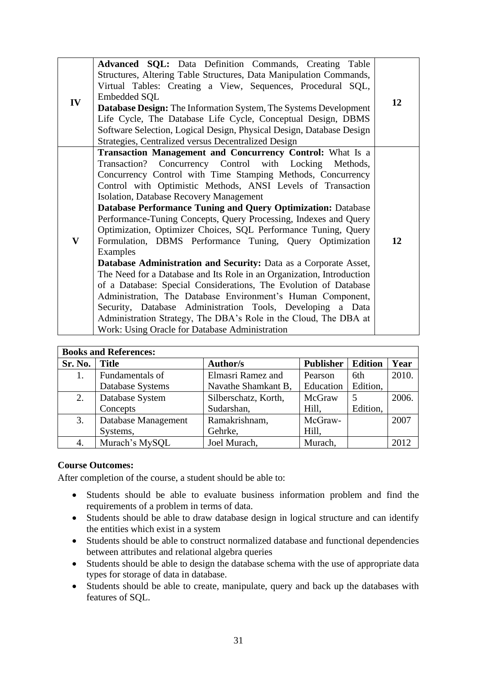| IV | Advanced SQL: Data Definition Commands, Creating Table<br>Structures, Altering Table Structures, Data Manipulation Commands,<br>Virtual Tables: Creating a View, Sequences, Procedural SQL,<br><b>Embedded SQL</b>                                                                                                                                                                                                                                                                                                                                                                                                                                                                                                                                                                                                                                                                                                                                                                                                                                                  | 12 |
|----|---------------------------------------------------------------------------------------------------------------------------------------------------------------------------------------------------------------------------------------------------------------------------------------------------------------------------------------------------------------------------------------------------------------------------------------------------------------------------------------------------------------------------------------------------------------------------------------------------------------------------------------------------------------------------------------------------------------------------------------------------------------------------------------------------------------------------------------------------------------------------------------------------------------------------------------------------------------------------------------------------------------------------------------------------------------------|----|
|    | Database Design: The Information System, The Systems Development<br>Life Cycle, The Database Life Cycle, Conceptual Design, DBMS<br>Software Selection, Logical Design, Physical Design, Database Design<br>Strategies, Centralized versus Decentralized Design                                                                                                                                                                                                                                                                                                                                                                                                                                                                                                                                                                                                                                                                                                                                                                                                     |    |
| V  | <b>Transaction Management and Concurrency Control:</b> What Is a<br>Transaction? Concurrency Control with Locking Methods,<br>Concurrency Control with Time Stamping Methods, Concurrency<br>Control with Optimistic Methods, ANSI Levels of Transaction<br><b>Isolation, Database Recovery Management</b><br><b>Database Performance Tuning and Query Optimization: Database</b><br>Performance-Tuning Concepts, Query Processing, Indexes and Query<br>Optimization, Optimizer Choices, SQL Performance Tuning, Query<br>Formulation, DBMS Performance Tuning, Query Optimization<br>Examples<br>Database Administration and Security: Data as a Corporate Asset,<br>The Need for a Database and Its Role in an Organization, Introduction<br>of a Database: Special Considerations, The Evolution of Database<br>Administration, The Database Environment's Human Component,<br>Security, Database Administration Tools, Developing a Data<br>Administration Strategy, The DBA's Role in the Cloud, The DBA at<br>Work: Using Oracle for Database Administration | 12 |

| <b>Books and References:</b> |                     |                      |                  |                |       |  |  |
|------------------------------|---------------------|----------------------|------------------|----------------|-------|--|--|
| Sr. No.                      | <b>Title</b>        | <b>Author/s</b>      | <b>Publisher</b> | <b>Edition</b> | Year  |  |  |
| 1.                           | Fundamentals of     | Elmasri Ramez and    | Pearson          | 6th            | 2010. |  |  |
|                              | Database Systems    | Navathe Shamkant B,  | Education        | Edition,       |       |  |  |
| 2.                           | Database System     | Silberschatz, Korth, | McGraw           |                | 2006. |  |  |
|                              | Concepts            | Sudarshan,           | Hill,            | Edition,       |       |  |  |
| 3.                           | Database Management | Ramakrishnam,        | McGraw-          |                | 2007  |  |  |
|                              | Systems,            | Gehrke,              | Hill,            |                |       |  |  |
| 4.                           | Murach's MySQL      | Joel Murach,         | Murach.          |                | 2012  |  |  |

- Students should be able to evaluate business information problem and find the requirements of a problem in terms of data.
- Students should be able to draw database design in logical structure and can identify the entities which exist in a system
- Students should be able to construct normalized database and functional dependencies between attributes and relational algebra queries
- Students should be able to design the database schema with the use of appropriate data types for storage of data in database.
- Students should be able to create, manipulate, query and back up the databases with features of SQL.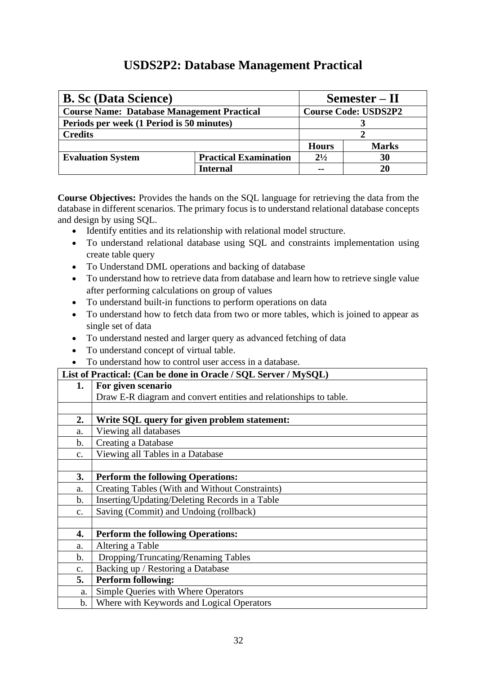## <span id="page-37-0"></span> **USDS2P2: Database Management Practical**

| <b>B. Sc (Data Science)</b>                       | Semester – II                |                             |              |
|---------------------------------------------------|------------------------------|-----------------------------|--------------|
| <b>Course Name: Database Management Practical</b> |                              | <b>Course Code: USDS2P2</b> |              |
| Periods per week (1 Period is 50 minutes)         |                              |                             |              |
| <b>Credits</b>                                    |                              |                             |              |
|                                                   |                              | <b>Hours</b>                | <b>Marks</b> |
| <b>Evaluation System</b>                          | <b>Practical Examination</b> | $2^{1/2}$                   | 30           |
|                                                   | Internal                     |                             | 20           |

**Course Objectives:** Provides the hands on the SQL language for retrieving the data from the database in different scenarios. The primary focus is to understand relational database concepts and design by using SQL.

- Identify entities and its relationship with relational model structure.
- To understand relational database using SQL and constraints implementation using create table query
- To Understand DML operations and backing of database
- To understand how to retrieve data from database and learn how to retrieve single value after performing calculations on group of values
- To understand built-in functions to perform operations on data
- To understand how to fetch data from two or more tables, which is joined to appear as single set of data
- To understand nested and larger query as advanced fetching of data
- To understand concept of virtual table.
- To understand how to control user access in a database.

## **List of Practical: (Can be done in Oracle / SQL Server / MySQL) 1. For given scenario**  Draw E-R diagram and convert entities and relationships to table. **2. Write SQL query for given problem statement:** a. Viewing all databases b. Creating a Database c. Viewing all Tables in a Database **3. Perform the following Operations:** a. Creating Tables (With and Without Constraints) b. Inserting/Updating/Deleting Records in a Table c. Saving (Commit) and Undoing (rollback) **4. Perform the following Operations:** a. Altering a Table b. Dropping/Truncating/Renaming Tables c. Backing up / Restoring a Database **5. Perform following:** a. Simple Queries with Where Operators b. Where with Keywords and Logical Operators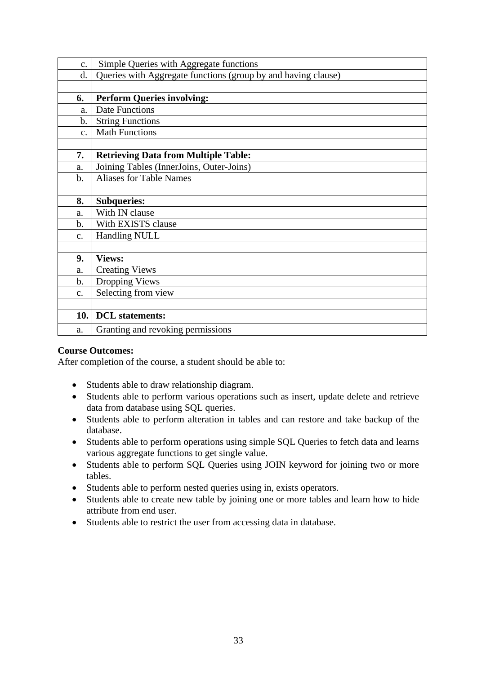| c.             | Simple Queries with Aggregate functions                       |
|----------------|---------------------------------------------------------------|
| d.             | Queries with Aggregate functions (group by and having clause) |
|                |                                                               |
| 6.             | <b>Perform Queries involving:</b>                             |
| a.             | <b>Date Functions</b>                                         |
| $\mathbf b$ .  | <b>String Functions</b>                                       |
| $\mathbf{c}$ . | <b>Math Functions</b>                                         |
|                |                                                               |
| 7.             | <b>Retrieving Data from Multiple Table:</b>                   |
| a.             | Joining Tables (InnerJoins, Outer-Joins)                      |
| $\mathbf b$ .  | <b>Aliases for Table Names</b>                                |
|                |                                                               |
| 8.             | <b>Subqueries:</b>                                            |
| a.             | With IN clause                                                |
| $\mathbf{b}$ . | With EXISTS clause                                            |
| c.             | <b>Handling NULL</b>                                          |
|                |                                                               |
| 9.             | <b>Views:</b>                                                 |
| a.             | <b>Creating Views</b>                                         |
| $\mathbf b$ .  | Dropping Views                                                |
| c.             | Selecting from view                                           |
|                |                                                               |
| 10.            | <b>DCL</b> statements:                                        |
| a.             | Granting and revoking permissions                             |

- Students able to draw relationship diagram.
- Students able to perform various operations such as insert, update delete and retrieve data from database using SQL queries.
- Students able to perform alteration in tables and can restore and take backup of the database.
- Students able to perform operations using simple SQL Queries to fetch data and learns various aggregate functions to get single value.
- Students able to perform SQL Queries using JOIN keyword for joining two or more tables.
- Students able to perform nested queries using in, exists operators.
- Students able to create new table by joining one or more tables and learn how to hide attribute from end user.
- Students able to restrict the user from accessing data in database.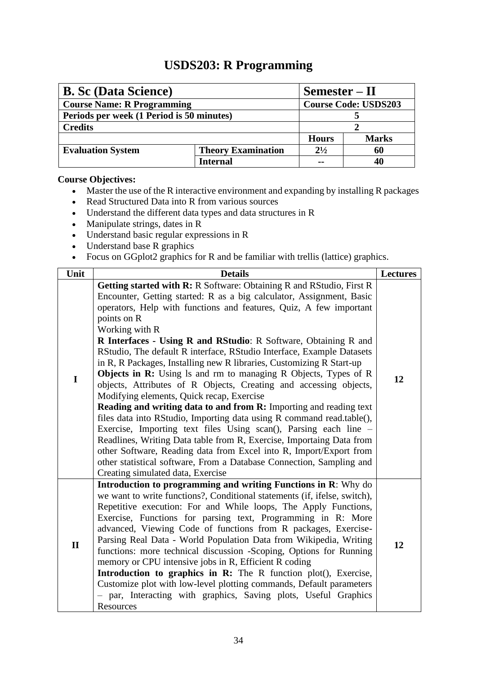## **USDS203: R Programming**

<span id="page-39-0"></span>

| <b>B.</b> Sc (Data Science)               |                           | Semester – II               |              |  |
|-------------------------------------------|---------------------------|-----------------------------|--------------|--|
| <b>Course Name: R Programming</b>         |                           | <b>Course Code: USDS203</b> |              |  |
| Periods per week (1 Period is 50 minutes) |                           |                             |              |  |
| <b>Credits</b>                            |                           |                             |              |  |
|                                           |                           | <b>Hours</b>                | <b>Marks</b> |  |
| <b>Evaluation System</b>                  | <b>Theory Examination</b> | $2^{1/2}$                   | 60           |  |
|                                           | Internal                  |                             |              |  |

- Master the use of the R interactive environment and expanding by installing R packages
- Read Structured Data into R from various sources
- Understand the different data types and data structures in R
- Manipulate strings, dates in R
- Understand basic regular expressions in R
- Understand base R graphics
- Focus on GGplot2 graphics for R and be familiar with trellis (lattice) graphics.

| Unit         | <b>Details</b>                                                                                                                                                                                                                                                                                                                                                                                                                                                                                                                                                                                                                                                                                                                                                                                                                                                                                                                                                                                                                                                                                                                                           | <b>Lectures</b> |
|--------------|----------------------------------------------------------------------------------------------------------------------------------------------------------------------------------------------------------------------------------------------------------------------------------------------------------------------------------------------------------------------------------------------------------------------------------------------------------------------------------------------------------------------------------------------------------------------------------------------------------------------------------------------------------------------------------------------------------------------------------------------------------------------------------------------------------------------------------------------------------------------------------------------------------------------------------------------------------------------------------------------------------------------------------------------------------------------------------------------------------------------------------------------------------|-----------------|
| $\mathbf I$  | <b>Getting started with R: R Software: Obtaining R and RStudio, First R</b><br>Encounter, Getting started: R as a big calculator, Assignment, Basic<br>operators, Help with functions and features, Quiz, A few important<br>points on R<br>Working with R<br>R Interfaces - Using R and RStudio: R Software, Obtaining R and<br>RStudio, The default R interface, RStudio Interface, Example Datasets<br>in R, R Packages, Installing new R libraries, Customizing R Start-up<br><b>Objects in R:</b> Using Is and rm to managing R Objects, Types of R<br>objects, Attributes of R Objects, Creating and accessing objects,<br>Modifying elements, Quick recap, Exercise<br>Reading and writing data to and from R: Importing and reading text<br>files data into RStudio, Importing data using R command read.table(),<br>Exercise, Importing text files Using scan(), Parsing each line –<br>Readlines, Writing Data table from R, Exercise, Importaing Data from<br>other Software, Reading data from Excel into R, Import/Export from<br>other statistical software, From a Database Connection, Sampling and<br>Creating simulated data, Exercise | 12              |
| $\mathbf{I}$ | Introduction to programming and writing Functions in R: Why do<br>we want to write functions?, Conditional statements (if, ifelse, switch),<br>Repetitive execution: For and While loops, The Apply Functions,<br>Exercise, Functions for parsing text, Programming in R: More<br>advanced, Viewing Code of functions from R packages, Exercise-<br>Parsing Real Data - World Population Data from Wikipedia, Writing<br>functions: more technical discussion -Scoping, Options for Running<br>memory or CPU intensive jobs in R, Efficient R coding<br>Introduction to graphics in R: The R function plot(), Exercise,<br>Customize plot with low-level plotting commands, Default parameters<br>- par, Interacting with graphics, Saving plots, Useful Graphics<br>Resources                                                                                                                                                                                                                                                                                                                                                                           | 12              |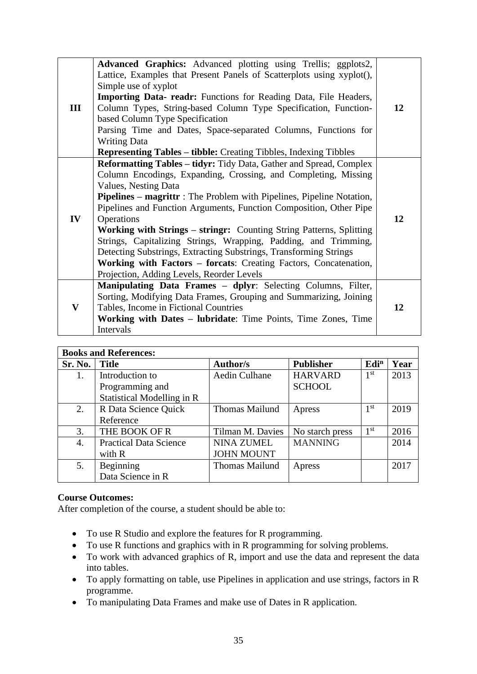|              | <b>Advanced Graphics:</b> Advanced plotting using Trellis; ggplots2,         |    |
|--------------|------------------------------------------------------------------------------|----|
|              | Lattice, Examples that Present Panels of Scatterplots using xyplot(),        |    |
|              | Simple use of xyplot                                                         |    |
|              | Importing Data- readr: Functions for Reading Data, File Headers,             |    |
| Ш            | Column Types, String-based Column Type Specification, Function-              | 12 |
|              | based Column Type Specification                                              |    |
|              | Parsing Time and Dates, Space-separated Columns, Functions for               |    |
|              | <b>Writing Data</b>                                                          |    |
|              | <b>Representing Tables - tibble:</b> Creating Tibbles, Indexing Tibbles      |    |
|              | <b>Reformatting Tables – tidyr:</b> Tidy Data, Gather and Spread, Complex    |    |
|              | Column Encodings, Expanding, Crossing, and Completing, Missing               |    |
|              | Values, Nesting Data                                                         |    |
|              | <b>Pipelines – magrittr</b> : The Problem with Pipelines, Pipeline Notation, |    |
|              | Pipelines and Function Arguments, Function Composition, Other Pipe           |    |
| IV           | Operations                                                                   | 12 |
|              | Working with Strings – stringr: Counting String Patterns, Splitting          |    |
|              | Strings, Capitalizing Strings, Wrapping, Padding, and Trimming,              |    |
|              | Detecting Substrings, Extracting Substrings, Transforming Strings            |    |
|              | Working with Factors – forcats: Creating Factors, Concatenation,             |    |
|              | Projection, Adding Levels, Reorder Levels                                    |    |
|              | Manipulating Data Frames - dplyr: Selecting Columns, Filter,                 |    |
|              | Sorting, Modifying Data Frames, Grouping and Summarizing, Joining            |    |
| $\mathbf{V}$ | Tables, Income in Fictional Countries                                        | 12 |
|              | Working with Dates – lubridate: Time Points, Time Zones, Time                |    |
|              | Intervals                                                                    |    |

| <b>Books and References:</b> |                               |                       |                  |                  |      |  |
|------------------------------|-------------------------------|-----------------------|------------------|------------------|------|--|
| Sr. No.                      | <b>Title</b>                  | <b>Author/s</b>       | <b>Publisher</b> | Edi <sup>n</sup> | Year |  |
| 1.                           | Introduction to               | <b>Aedin Culhane</b>  | <b>HARVARD</b>   | 1 <sup>st</sup>  | 2013 |  |
|                              | Programming and               |                       | <b>SCHOOL</b>    |                  |      |  |
|                              | Statistical Modelling in R    |                       |                  |                  |      |  |
| 2.                           | R Data Science Quick          | <b>Thomas Mailund</b> | Apress           | 1 <sup>st</sup>  | 2019 |  |
|                              | Reference                     |                       |                  |                  |      |  |
| 3.                           | THE BOOK OF R                 | Tilman M. Davies      | No starch press  | 1 <sup>st</sup>  | 2016 |  |
| 4.                           | <b>Practical Data Science</b> | <b>NINA ZUMEL</b>     | <b>MANNING</b>   |                  | 2014 |  |
|                              | with R                        | <b>JOHN MOUNT</b>     |                  |                  |      |  |
| 5.                           | Beginning                     | <b>Thomas Mailund</b> | Apress           |                  | 2017 |  |
|                              | Data Science in R             |                       |                  |                  |      |  |

- To use R Studio and explore the features for R programming.
- To use R functions and graphics with in R programming for solving problems.
- To work with advanced graphics of R, import and use the data and represent the data into tables.
- To apply formatting on table, use Pipelines in application and use strings, factors in R programme.
- To manipulating Data Frames and make use of Dates in R application.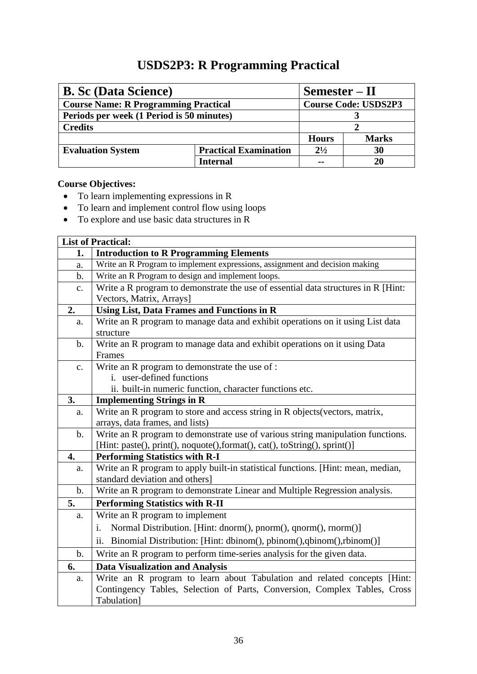## **USDS2P3: R Programming Practical**

<span id="page-41-0"></span>

| <b>B.</b> Sc (Data Science)                 | $Semester - II$              |                             |              |
|---------------------------------------------|------------------------------|-----------------------------|--------------|
| <b>Course Name: R Programming Practical</b> |                              | <b>Course Code: USDS2P3</b> |              |
| Periods per week (1 Period is 50 minutes)   |                              |                             |              |
| <b>Credits</b>                              |                              |                             |              |
|                                             |                              | <b>Hours</b>                | <b>Marks</b> |
| <b>Evaluation System</b>                    | <b>Practical Examination</b> | $2^{1/2}$                   | 30           |
|                                             | <b>Internal</b>              |                             | 20           |

- To learn implementing expressions in R
- To learn and implement control flow using loops
- To explore and use basic data structures in R

|               | <b>List of Practical:</b>                                                         |
|---------------|-----------------------------------------------------------------------------------|
| 1.            | <b>Introduction to R Programming Elements</b>                                     |
| a.            | Write an R Program to implement expressions, assignment and decision making       |
| b.            | Write an R Program to design and implement loops.                                 |
| c.            | Write a R program to demonstrate the use of essential data structures in R [Hint: |
|               | Vectors, Matrix, Arrays]                                                          |
| 2.            | <b>Using List, Data Frames and Functions in R</b>                                 |
| a.            | Write an R program to manage data and exhibit operations on it using List data    |
|               | structure                                                                         |
| $\mathbf b$ . | Write an R program to manage data and exhibit operations on it using Data         |
|               | Frames                                                                            |
| c.            | Write an R program to demonstrate the use of :                                    |
|               | i. user-defined functions                                                         |
|               | ii. built-in numeric function, character functions etc.                           |
| 3.            | <b>Implementing Strings in R</b>                                                  |
| a.            | Write an R program to store and access string in R objects (vectors, matrix,      |
|               | arrays, data frames, and lists)                                                   |
| $\mathbf b$ . | Write an R program to demonstrate use of various string manipulation functions.   |
|               | [Hint: paste(), print(), noquote(),format(), cat(), toString(), sprint()]         |
| 4.            | <b>Performing Statistics with R-I</b>                                             |
| a.            | Write an R program to apply built-in statistical functions. [Hint: mean, median,  |
|               | standard deviation and others]                                                    |
| $\mathbf b$ . | Write an R program to demonstrate Linear and Multiple Regression analysis.        |
| 5.            | <b>Performing Statistics with R-II</b>                                            |
| a.            | Write an R program to implement                                                   |
|               | Normal Distribution. [Hint: dnorm(), pnorm(), qnorm(), rnorm()]<br>i.             |
|               | ii. Binomial Distribution: [Hint: dbinom(), pbinom(), qbinom(), rbinom()]         |
| $\mathbf b$ . | Write an R program to perform time-series analysis for the given data.            |
| 6.            | <b>Data Visualization and Analysis</b>                                            |
| a.            | Write an R program to learn about Tabulation and related concepts [Hint:          |
|               | Contingency Tables, Selection of Parts, Conversion, Complex Tables, Cross         |
|               | Tabulation]                                                                       |
|               |                                                                                   |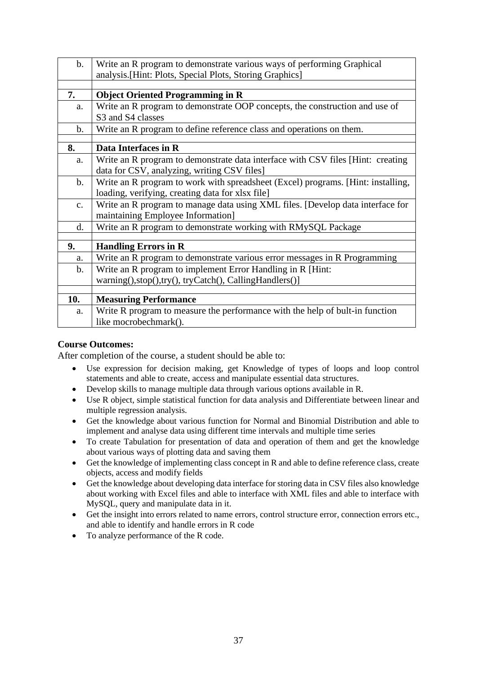| $\mathbf b$ .  | Write an R program to demonstrate various ways of performing Graphical           |
|----------------|----------------------------------------------------------------------------------|
|                | analysis. [Hint: Plots, Special Plots, Storing Graphics]                         |
|                |                                                                                  |
| 7.             | <b>Object Oriented Programming in R</b>                                          |
| a.             | Write an R program to demonstrate OOP concepts, the construction and use of      |
|                | S3 and S4 classes                                                                |
| $\mathbf{b}$ . | Write an R program to define reference class and operations on them.             |
|                |                                                                                  |
| 8.             | Data Interfaces in R                                                             |
| a.             | Write an R program to demonstrate data interface with CSV files [Hint: creating] |
|                | data for CSV, analyzing, writing CSV files]                                      |
| $\mathbf{b}$ . | Write an R program to work with spreadsheet (Excel) programs. [Hint: installing, |
|                | loading, verifying, creating data for xlsx file]                                 |
| $C_{\bullet}$  | Write an R program to manage data using XML files. [Develop data interface for   |
|                | maintaining Employee Information]                                                |
| d.             | Write an R program to demonstrate working with RMySQL Package                    |
|                |                                                                                  |
| 9.             | <b>Handling Errors in R</b>                                                      |
| a.             | Write an R program to demonstrate various error messages in R Programming        |
| $\mathbf b$ .  | Write an R program to implement Error Handling in R [Hint:                       |
|                | warning(),stop(),try(), tryCatch(), CallingHandlers()]                           |
|                |                                                                                  |
| 10.            | <b>Measuring Performance</b>                                                     |
| a.             | Write R program to measure the performance with the help of bult-in function     |
|                | like mocrobechmark().                                                            |

- Use expression for decision making, get Knowledge of types of loops and loop control statements and able to create, access and manipulate essential data structures.
- Develop skills to manage multiple data through various options available in R.
- Use R object, simple statistical function for data analysis and Differentiate between linear and multiple regression analysis.
- Get the knowledge about various function for Normal and Binomial Distribution and able to implement and analyse data using different time intervals and multiple time series
- To create Tabulation for presentation of data and operation of them and get the knowledge about various ways of plotting data and saving them
- Get the knowledge of implementing class concept in R and able to define reference class, create objects, access and modify fields
- Get the knowledge about developing data interface for storing data in CSV files also knowledge about working with Excel files and able to interface with XML files and able to interface with MySQL, query and manipulate data in it.
- Get the insight into errors related to name errors, control structure error, connection errors etc., and able to identify and handle errors in R code
- To analyze performance of the R code.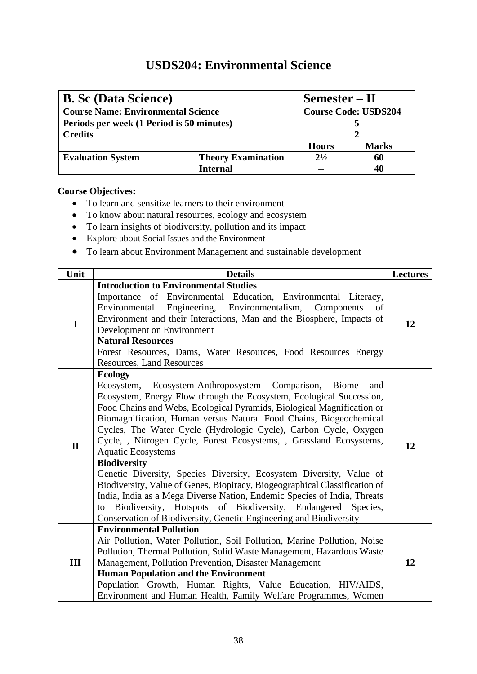## **USDS204: Environmental Science**

<span id="page-43-0"></span>

| <b>B. Sc (Data Science)</b>               |                           | $Semester - II$ |                             |  |
|-------------------------------------------|---------------------------|-----------------|-----------------------------|--|
| <b>Course Name: Environmental Science</b> |                           |                 | <b>Course Code: USDS204</b> |  |
| Periods per week (1 Period is 50 minutes) |                           |                 |                             |  |
| <b>Credits</b>                            |                           |                 |                             |  |
|                                           |                           | <b>Hours</b>    | <b>Marks</b>                |  |
| <b>Evaluation System</b>                  | <b>Theory Examination</b> | $2^{1/2}$       | 60                          |  |
|                                           | Internal                  |                 |                             |  |

- To learn and sensitize learners to their environment
- To know about natural resources, ecology and ecosystem
- To learn insights of biodiversity, pollution and its impact
- Explore about Social Issues and the Environment
- To learn about Environment Management and sustainable development

| Unit         | <b>Details</b>                                                                                                                                                                                                                                                                                                                                                                                                                                                                                                                                                                                                                                                                                                                                                                                                                                                                    | <b>Lectures</b> |
|--------------|-----------------------------------------------------------------------------------------------------------------------------------------------------------------------------------------------------------------------------------------------------------------------------------------------------------------------------------------------------------------------------------------------------------------------------------------------------------------------------------------------------------------------------------------------------------------------------------------------------------------------------------------------------------------------------------------------------------------------------------------------------------------------------------------------------------------------------------------------------------------------------------|-----------------|
|              | <b>Introduction to Environmental Studies</b>                                                                                                                                                                                                                                                                                                                                                                                                                                                                                                                                                                                                                                                                                                                                                                                                                                      |                 |
| $\mathbf I$  | Importance of Environmental Education, Environmental Literacy,<br>Engineering, Environmentalism,<br>Environmental<br>Components<br>of<br>Environment and their Interactions, Man and the Biosphere, Impacts of<br>Development on Environment<br><b>Natural Resources</b><br>Forest Resources, Dams, Water Resources, Food Resources Energy<br><b>Resources, Land Resources</b>                                                                                                                                                                                                                                                                                                                                                                                                                                                                                                    | 12              |
| $\mathbf{I}$ | <b>Ecology</b><br>Ecosystem, Ecosystem-Anthroposystem Comparison, Biome<br>and<br>Ecosystem, Energy Flow through the Ecosystem, Ecological Succession,<br>Food Chains and Webs, Ecological Pyramids, Biological Magnification or<br>Biomagnification, Human versus Natural Food Chains, Biogeochemical<br>Cycles, The Water Cycle (Hydrologic Cycle), Carbon Cycle, Oxygen<br>Cycle, , Nitrogen Cycle, Forest Ecosystems, , Grassland Ecosystems,<br><b>Aquatic Ecosystems</b><br><b>Biodiversity</b><br>Genetic Diversity, Species Diversity, Ecosystem Diversity, Value of<br>Biodiversity, Value of Genes, Biopiracy, Biogeographical Classification of<br>India, India as a Mega Diverse Nation, Endemic Species of India, Threats<br>Biodiversity, Hotspots of Biodiversity, Endangered Species,<br>to<br>Conservation of Biodiversity, Genetic Engineering and Biodiversity | 12              |
| Ш            | <b>Environmental Pollution</b><br>Air Pollution, Water Pollution, Soil Pollution, Marine Pollution, Noise<br>Pollution, Thermal Pollution, Solid Waste Management, Hazardous Waste<br>Management, Pollution Prevention, Disaster Management<br><b>Human Population and the Environment</b><br>Population Growth, Human Rights, Value Education, HIV/AIDS,<br>Environment and Human Health, Family Welfare Programmes, Women                                                                                                                                                                                                                                                                                                                                                                                                                                                       | 12              |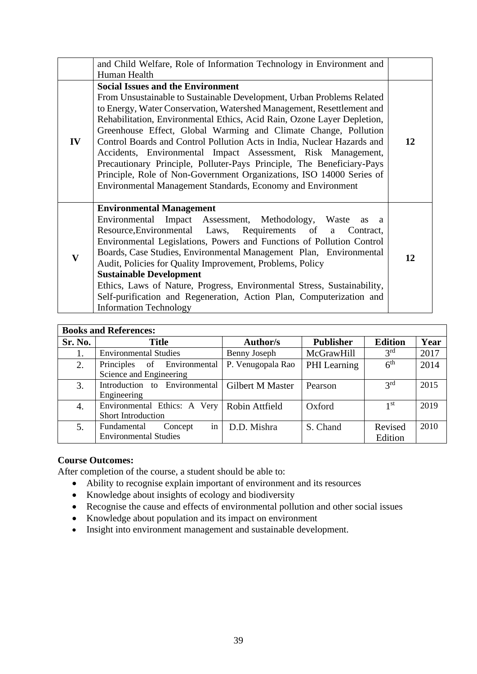|              | and Child Welfare, Role of Information Technology in Environment and                                                                                                                                                                                                                                                                                                                                                                                                                                                                                                                                                                                                                                 |    |
|--------------|------------------------------------------------------------------------------------------------------------------------------------------------------------------------------------------------------------------------------------------------------------------------------------------------------------------------------------------------------------------------------------------------------------------------------------------------------------------------------------------------------------------------------------------------------------------------------------------------------------------------------------------------------------------------------------------------------|----|
|              | Human Health                                                                                                                                                                                                                                                                                                                                                                                                                                                                                                                                                                                                                                                                                         |    |
| ${\bf IV}$   | <b>Social Issues and the Environment</b><br>From Unsustainable to Sustainable Development, Urban Problems Related<br>to Energy, Water Conservation, Watershed Management, Resettlement and<br>Rehabilitation, Environmental Ethics, Acid Rain, Ozone Layer Depletion,<br>Greenhouse Effect, Global Warming and Climate Change, Pollution<br>Control Boards and Control Pollution Acts in India, Nuclear Hazards and<br>Accidents, Environmental Impact Assessment, Risk Management,<br>Precautionary Principle, Polluter-Pays Principle, The Beneficiary-Pays<br>Principle, Role of Non-Government Organizations, ISO 14000 Series of<br>Environmental Management Standards, Economy and Environment | 12 |
| $\mathbf{V}$ | <b>Environmental Management</b><br>Environmental Impact Assessment, Methodology, Waste<br>as a<br>Resource, Environmental Laws, Requirements of a<br>Contract,<br>Environmental Legislations, Powers and Functions of Pollution Control<br>Boards, Case Studies, Environmental Management Plan, Environmental<br>Audit, Policies for Quality Improvement, Problems, Policy<br><b>Sustainable Development</b><br>Ethics, Laws of Nature, Progress, Environmental Stress, Sustainability,<br>Self-purification and Regeneration, Action Plan, Computerization and<br><b>Information Technology</b>                                                                                                     | 12 |

|         | <b>Books and References:</b>  |                         |                  |                 |      |
|---------|-------------------------------|-------------------------|------------------|-----------------|------|
| Sr. No. | <b>Title</b>                  | <b>Author/s</b>         | <b>Publisher</b> | <b>Edition</b>  | Year |
|         | <b>Environmental Studies</b>  | Benny Joseph            | McGrawHill       | 3 <sup>rd</sup> | 2017 |
| 2.      | Principles of Environmental   | P. Venugopala Rao       | PHI Learning     | 6 <sup>th</sup> | 2014 |
|         | Science and Engineering       |                         |                  |                 |      |
| 3.      | Introduction to Environmental | <b>Gilbert M Master</b> | Pearson          | 2 <sup>rd</sup> | 2015 |
|         | Engineering                   |                         |                  |                 |      |
| 4.      | Environmental Ethics: A Very  | Robin Attfield          | Oxford           | 1 <sup>st</sup> | 2019 |
|         | <b>Short Introduction</b>     |                         |                  |                 |      |
| 5.      | in<br>Fundamental<br>Concept  | D.D. Mishra             | S. Chand         | Revised         | 2010 |
|         | <b>Environmental Studies</b>  |                         |                  | Edition         |      |

- Ability to recognise explain important of environment and its resources
- Knowledge about insights of ecology and biodiversity
- Recognise the cause and effects of environmental pollution and other social issues
- Knowledge about population and its impact on environment
- Insight into environment management and sustainable development.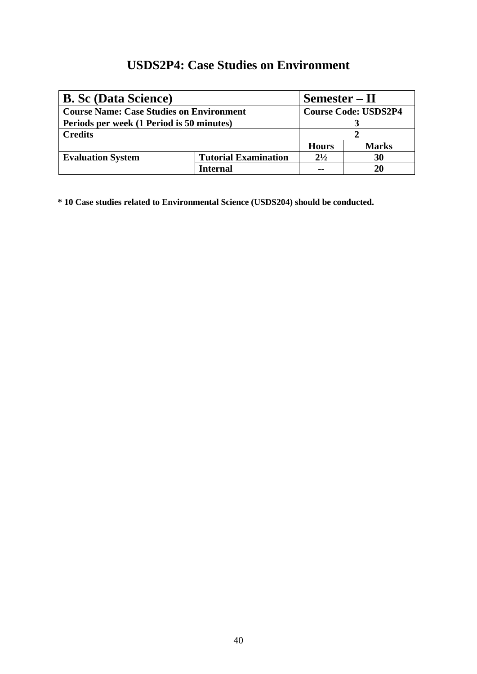## **USDS2P4: Case Studies on Environment**

<span id="page-45-0"></span>

| <b>B. Sc (Data Science)</b>                     |                             | $Semester - II$ |                             |  |
|-------------------------------------------------|-----------------------------|-----------------|-----------------------------|--|
| <b>Course Name: Case Studies on Environment</b> |                             |                 | <b>Course Code: USDS2P4</b> |  |
| Periods per week (1 Period is 50 minutes)       |                             |                 |                             |  |
| <b>Credits</b>                                  |                             |                 |                             |  |
|                                                 |                             | <b>Hours</b>    | <b>Marks</b>                |  |
| <b>Evaluation System</b>                        | <b>Tutorial Examination</b> | $2^{1/2}$       | 30                          |  |
|                                                 | Internal                    | $\sim$          | 20                          |  |

**\* 10 Case studies related to Environmental Science (USDS204) should be conducted.**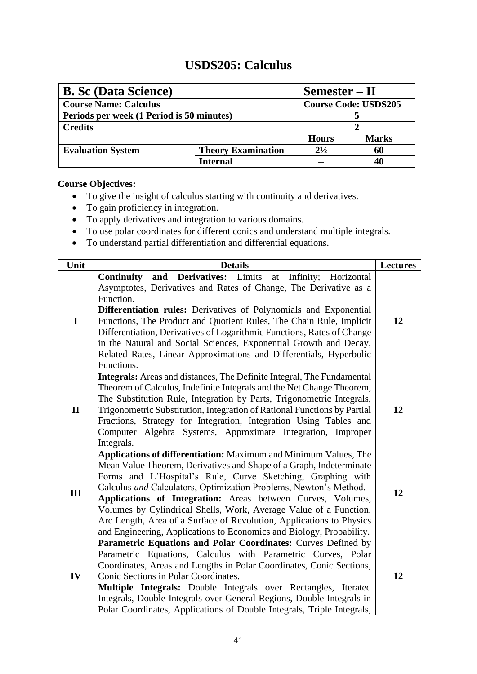## **USDS205: Calculus**

<span id="page-46-0"></span>

| <b>B.</b> Sc (Data Science)<br>$Semester - II$ |                           |              |                             |  |
|------------------------------------------------|---------------------------|--------------|-----------------------------|--|
| <b>Course Name: Calculus</b>                   |                           |              | <b>Course Code: USDS205</b> |  |
| Periods per week (1 Period is 50 minutes)      |                           |              |                             |  |
| <b>Credits</b>                                 |                           |              |                             |  |
|                                                |                           | <b>Hours</b> | <b>Marks</b>                |  |
| <b>Evaluation System</b>                       | <b>Theory Examination</b> | $2^{1/2}$    | 60                          |  |
|                                                | <b>Internal</b>           | --           |                             |  |

- To give the insight of calculus starting with continuity and derivatives.
- To gain proficiency in integration.
- To apply derivatives and integration to various domains.
- To use polar coordinates for different conics and understand multiple integrals.
- To understand partial differentiation and differential equations.

| Unit         | <b>Details</b>                                                                                                                                                                                                                                                                                                                                                                                                                                                                                                                                                  | <b>Lectures</b> |
|--------------|-----------------------------------------------------------------------------------------------------------------------------------------------------------------------------------------------------------------------------------------------------------------------------------------------------------------------------------------------------------------------------------------------------------------------------------------------------------------------------------------------------------------------------------------------------------------|-----------------|
| I            | and Derivatives: Limits<br><b>Continuity</b><br>Infinity;<br>Horizontal<br>at<br>Asymptotes, Derivatives and Rates of Change, The Derivative as a<br>Function.<br>Differentiation rules: Derivatives of Polynomials and Exponential<br>Functions, The Product and Quotient Rules, The Chain Rule, Implicit<br>Differentiation, Derivatives of Logarithmic Functions, Rates of Change<br>in the Natural and Social Sciences, Exponential Growth and Decay,<br>Related Rates, Linear Approximations and Differentials, Hyperbolic<br>Functions.                   | 12              |
| $\mathbf{I}$ | Integrals: Areas and distances, The Definite Integral, The Fundamental<br>Theorem of Calculus, Indefinite Integrals and the Net Change Theorem,<br>The Substitution Rule, Integration by Parts, Trigonometric Integrals,<br>Trigonometric Substitution, Integration of Rational Functions by Partial<br>Fractions, Strategy for Integration, Integration Using Tables and<br>Computer Algebra Systems, Approximate Integration, Improper<br>Integrals.                                                                                                          | 12              |
| III          | Applications of differentiation: Maximum and Minimum Values, The<br>Mean Value Theorem, Derivatives and Shape of a Graph, Indeterminate<br>Forms and L'Hospital's Rule, Curve Sketching, Graphing with<br>Calculus and Calculators, Optimization Problems, Newton's Method.<br>Applications of Integration: Areas between Curves, Volumes,<br>Volumes by Cylindrical Shells, Work, Average Value of a Function,<br>Arc Length, Area of a Surface of Revolution, Applications to Physics<br>and Engineering, Applications to Economics and Biology, Probability. | 12              |
| IV           | Parametric Equations and Polar Coordinates: Curves Defined by<br>Parametric Equations, Calculus with Parametric Curves, Polar<br>Coordinates, Areas and Lengths in Polar Coordinates, Conic Sections,<br>Conic Sections in Polar Coordinates.<br>Multiple Integrals: Double Integrals over Rectangles, Iterated<br>Integrals, Double Integrals over General Regions, Double Integrals in<br>Polar Coordinates, Applications of Double Integrals, Triple Integrals,                                                                                              | 12              |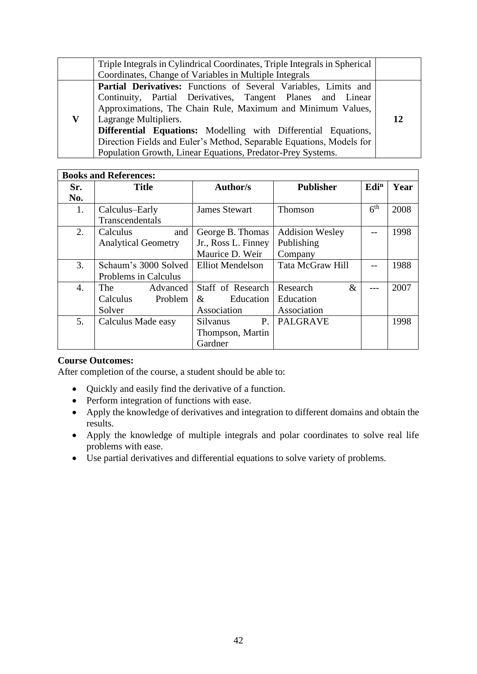| Triple Integrals in Cylindrical Coordinates, Triple Integrals in Spherical |  |  |  |
|----------------------------------------------------------------------------|--|--|--|
| Coordinates, Change of Variables in Multiple Integrals                     |  |  |  |
| Partial Derivatives: Functions of Several Variables, Limits and            |  |  |  |
| Continuity, Partial Derivatives, Tangent Planes and Linear                 |  |  |  |
| Approximations, The Chain Rule, Maximum and Minimum Values,                |  |  |  |
| Lagrange Multipliers.                                                      |  |  |  |
| Differential Equations: Modelling with Differential Equations,             |  |  |  |
| Direction Fields and Euler's Method, Separable Equations, Models for       |  |  |  |
| Population Growth, Linear Equations, Predator-Prey Systems.                |  |  |  |

|     | <b>Books and References:</b> |                              |                         |                  |      |
|-----|------------------------------|------------------------------|-------------------------|------------------|------|
| Sr. | <b>Title</b>                 | <b>Author/s</b>              | <b>Publisher</b>        | Edi <sup>n</sup> | Year |
| No. |                              |                              |                         |                  |      |
| 1.  | Calculus-Early               | <b>James Stewart</b>         | <b>Thomson</b>          | 6 <sup>th</sup>  | 2008 |
|     | Transcendentals              |                              |                         |                  |      |
| 2.  | Calculus<br>and              | George B. Thomas             | <b>Addision Wesley</b>  |                  | 1998 |
|     | <b>Analytical Geometry</b>   | Jr., Ross L. Finney          | Publishing              |                  |      |
|     |                              | Maurice D. Weir              | Company                 |                  |      |
| 3.  | Schaum's 3000 Solved         | <b>Elliot Mendelson</b>      | <b>Tata McGraw Hill</b> |                  | 1988 |
|     | Problems in Calculus         |                              |                         |                  |      |
| 4.  | The<br>Advanced              | Staff of Research            | Research<br>$\&$        |                  | 2007 |
|     | Problem<br>Calculus          | Education<br>&               | Education               |                  |      |
|     | Solver                       | Association                  | Association             |                  |      |
| 5.  | Calculus Made easy           | <b>P.</b><br><b>Silvanus</b> | <b>PALGRAVE</b>         |                  | 1998 |
|     |                              | Thompson, Martin             |                         |                  |      |
|     |                              | Gardner                      |                         |                  |      |

- Quickly and easily find the derivative of a function.
- Perform integration of functions with ease.
- Apply the knowledge of derivatives and integration to different domains and obtain the results.
- Apply the knowledge of multiple integrals and polar coordinates to solve real life problems with ease.
- Use partial derivatives and differential equations to solve variety of problems.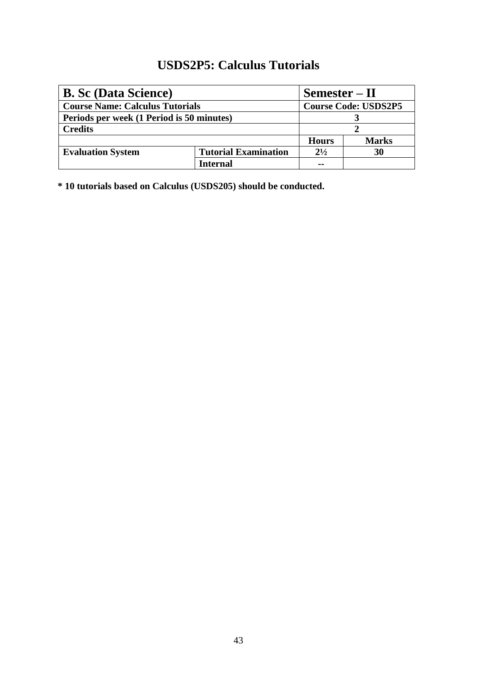## **USDS2P5: Calculus Tutorials**

<span id="page-48-0"></span>

| <b>B.</b> Sc (Data Science)               | $Semester - II$             |                             |              |
|-------------------------------------------|-----------------------------|-----------------------------|--------------|
| <b>Course Name: Calculus Tutorials</b>    |                             | <b>Course Code: USDS2P5</b> |              |
| Periods per week (1 Period is 50 minutes) |                             |                             |              |
| <b>Credits</b>                            |                             |                             |              |
|                                           |                             | <b>Hours</b>                | <b>Marks</b> |
| <b>Evaluation System</b>                  | <b>Tutorial Examination</b> | $2^{1/2}$                   | 30           |
|                                           | <b>Internal</b>             | --                          |              |

**\* 10 tutorials based on Calculus (USDS205) should be conducted.**